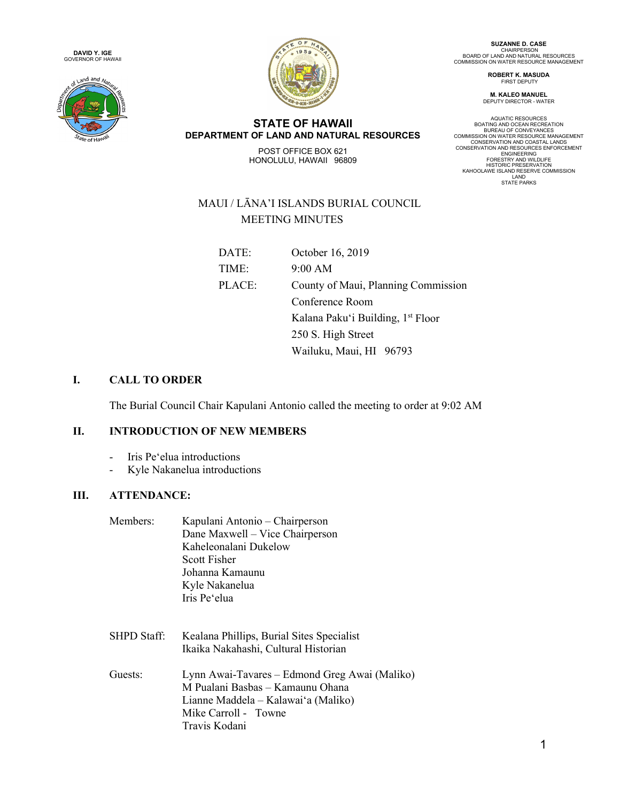





**SUZANNE D. CASE** CHAIRPERSON<br>BOARD OF LAND AND NATURAL RESOURCES<br>COMMISSION ON WATER RESOURCE MANAGEMENT

> **ROBERT K. MASUDA** FIRST DEPUTY

**M. KALEO MANUEL** DEPUTY DIRECTOR - WATER

**STATE OF HAWAII DEPARTMENT OF LAND AND NATURAL RESOURCES**

POST OFFICE BOX 621 HONOLULU, HAWAII 96809 AQUATIC RESOURCES<br>BOATING AND OCEAN RECREATION<br>BUREAU OF CONVEYANCES<br>COMMISSION ON WATER RESOURCE MANAGEMENT<br>CONSERVATION AND RESOURCES ENFORCEMENT<br>CONSERVATION AND RESOURCES ENFORCEMENT ENGINEERING<br>FORESTRY AND WILDLIFE<br>HISTORIC PRESERVATION<br>KAHOOLAWE ISLAND RESERVE COMMISSION<br>LAND<br>STATE PARKS

# MAUI / LĀNA'I ISLANDS BURIAL COUNCIL MEETING MINUTES

| DATE:  | October 16, 2019                              |
|--------|-----------------------------------------------|
| TIME:  | 9:00 AM                                       |
| PLACE: | County of Maui, Planning Commission           |
|        | Conference Room                               |
|        | Kalana Paku'i Building, 1 <sup>st</sup> Floor |
|        | 250 S. High Street                            |
|        | Wailuku, Maui, HI 96793                       |

# **I. CALL TO ORDER**

The Burial Council Chair Kapulani Antonio called the meeting to order at 9:02 AM

# **II. INTRODUCTION OF NEW MEMBERS**

- Iris Peʻelua introductions
- Kyle Nakanelua introductions

# **III. ATTENDANCE:**

| Members: | Kapulani Antonio - Chairperson  |
|----------|---------------------------------|
|          | Dane Maxwell - Vice Chairperson |
|          | Kaheleonalani Dukelow           |
|          | Scott Fisher                    |
|          | Johanna Kamaunu                 |
|          | Kyle Nakanelua                  |
|          | Iris Pe'elua                    |
|          |                                 |

- SHPD Staff: Kealana Phillips, Burial Sites Specialist Ikaika Nakahashi, Cultural Historian
- Guests: Lynn Awai-Tavares Edmond Greg Awai (Maliko) M Pualani Basbas – Kamaunu Ohana Lianne Maddela – Kalawaiʻa (Maliko) Mike Carroll - Towne Travis Kodani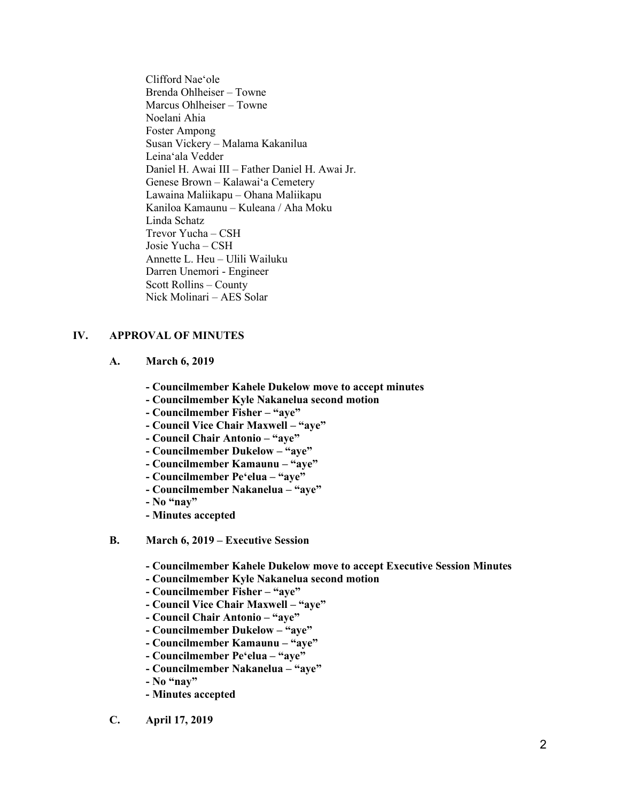Clifford Naeʻole Brenda Ohlheiser – Towne Marcus Ohlheiser – Towne Noelani Ahia Foster Ampong Susan Vickery – Malama Kakanilua Leinaʻala Vedder Daniel H. Awai III – Father Daniel H. Awai Jr. Genese Brown – Kalawaiʻa Cemetery Lawaina Maliikapu – Ohana Maliikapu Kaniloa Kamaunu – Kuleana / Aha Moku Linda Schatz Trevor Yucha – CSH Josie Yucha – CSH Annette L. Heu – Ulili Wailuku Darren Unemori - Engineer Scott Rollins – County Nick Molinari – AES Solar

#### **IV. APPROVAL OF MINUTES**

- **A. March 6, 2019**
	- **- Councilmember Kahele Dukelow move to accept minutes**
	- **- Councilmember Kyle Nakanelua second motion**
	- **- Councilmember Fisher – "aye"**
	- **- Council Vice Chair Maxwell – "aye"**
	- **- Council Chair Antonio – "aye"**
	- **- Councilmember Dukelow – "aye"**
	- **- Councilmember Kamaunu – "aye"**
	- **- Councilmember Peʻelua – "aye"**
	- **- Councilmember Nakanelua – "aye"**
	- **- No "nay"**
	- **- Minutes accepted**
- **B. March 6, 2019 – Executive Session**
	- **- Councilmember Kahele Dukelow move to accept Executive Session Minutes**
	- **- Councilmember Kyle Nakanelua second motion**
	- **- Councilmember Fisher – "aye"**
	- **- Council Vice Chair Maxwell – "aye"**
	- **- Council Chair Antonio – "aye"**
	- **- Councilmember Dukelow – "aye"**
	- **- Councilmember Kamaunu – "aye"**
	- **- Councilmember Peʻelua – "aye"**
	- **- Councilmember Nakanelua – "aye"**
	- **- No "nay"**
	- **- Minutes accepted**
- **C. April 17, 2019**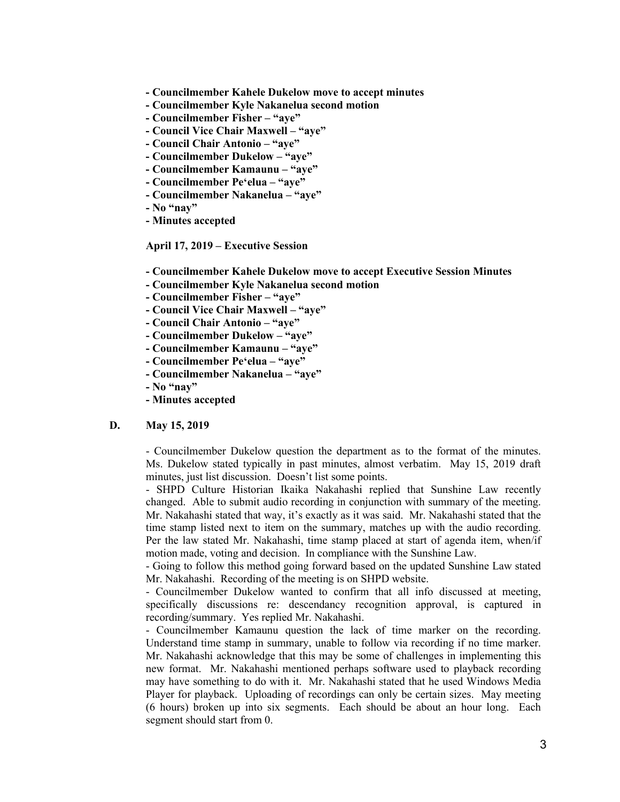- **- Councilmember Kahele Dukelow move to accept minutes**
- **- Councilmember Kyle Nakanelua second motion**
- **- Councilmember Fisher – "aye"**
- **- Council Vice Chair Maxwell – "aye"**
- **- Council Chair Antonio – "aye"**
- **- Councilmember Dukelow – "aye"**
- **- Councilmember Kamaunu – "aye"**
- **- Councilmember Peʻelua – "aye"**
- **- Councilmember Nakanelua – "aye"**
- **- No "nay"**
- **- Minutes accepted**

**April 17, 2019 – Executive Session**

- **- Councilmember Kahele Dukelow move to accept Executive Session Minutes**
- **- Councilmember Kyle Nakanelua second motion**
- **- Councilmember Fisher – "aye"**
- **- Council Vice Chair Maxwell – "aye"**
- **- Council Chair Antonio – "aye"**
- **- Councilmember Dukelow – "aye"**
- **- Councilmember Kamaunu – "aye"**
- **- Councilmember Peʻelua – "aye"**
- **- Councilmember Nakanelua – "aye"**
- **- No "nay"**
- **- Minutes accepted**

#### **D. May 15, 2019**

- Councilmember Dukelow question the department as to the format of the minutes. Ms. Dukelow stated typically in past minutes, almost verbatim. May 15, 2019 draft minutes, just list discussion. Doesn't list some points.

- SHPD Culture Historian Ikaika Nakahashi replied that Sunshine Law recently changed. Able to submit audio recording in conjunction with summary of the meeting. Mr. Nakahashi stated that way, it's exactly as it was said. Mr. Nakahashi stated that the time stamp listed next to item on the summary, matches up with the audio recording. Per the law stated Mr. Nakahashi, time stamp placed at start of agenda item, when/if motion made, voting and decision. In compliance with the Sunshine Law.

- Going to follow this method going forward based on the updated Sunshine Law stated Mr. Nakahashi. Recording of the meeting is on SHPD website.

- Councilmember Dukelow wanted to confirm that all info discussed at meeting, specifically discussions re: descendancy recognition approval, is captured in recording/summary. Yes replied Mr. Nakahashi.

- Councilmember Kamaunu question the lack of time marker on the recording. Understand time stamp in summary, unable to follow via recording if no time marker. Mr. Nakahashi acknowledge that this may be some of challenges in implementing this new format. Mr. Nakahashi mentioned perhaps software used to playback recording may have something to do with it. Mr. Nakahashi stated that he used Windows Media Player for playback. Uploading of recordings can only be certain sizes. May meeting (6 hours) broken up into six segments. Each should be about an hour long. Each segment should start from 0.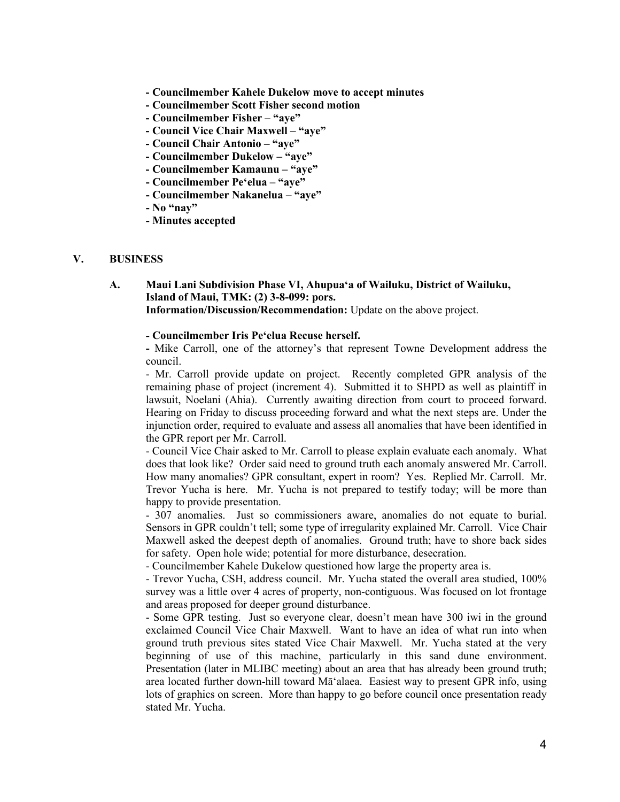- **- Councilmember Kahele Dukelow move to accept minutes**
- **- Councilmember Scott Fisher second motion**
- **- Councilmember Fisher – "aye"**
- **- Council Vice Chair Maxwell – "aye"**
- **- Council Chair Antonio – "aye"**
- **- Councilmember Dukelow – "aye"**
- **- Councilmember Kamaunu – "aye"**
- **- Councilmember Peʻelua – "aye"**
- **- Councilmember Nakanelua – "aye"**
- **- No "nay"**
- **- Minutes accepted**

#### **V. BUSINESS**

# **A. Maui Lani Subdivision Phase VI, Ahupuaʻa of Wailuku, District of Wailuku, Island of Maui, TMK: (2) 3-8-099: pors.**

**Information/Discussion/Recommendation:** Update on the above project.

#### **- Councilmember Iris Peʻelua Recuse herself.**

**-** Mike Carroll, one of the attorney's that represent Towne Development address the council.

- Mr. Carroll provide update on project. Recently completed GPR analysis of the remaining phase of project (increment 4). Submitted it to SHPD as well as plaintiff in lawsuit, Noelani (Ahia). Currently awaiting direction from court to proceed forward. Hearing on Friday to discuss proceeding forward and what the next steps are. Under the injunction order, required to evaluate and assess all anomalies that have been identified in the GPR report per Mr. Carroll.

- Council Vice Chair asked to Mr. Carroll to please explain evaluate each anomaly. What does that look like? Order said need to ground truth each anomaly answered Mr. Carroll. How many anomalies? GPR consultant, expert in room? Yes. Replied Mr. Carroll. Mr. Trevor Yucha is here. Mr. Yucha is not prepared to testify today; will be more than happy to provide presentation.

- 307 anomalies. Just so commissioners aware, anomalies do not equate to burial. Sensors in GPR couldn't tell; some type of irregularity explained Mr. Carroll. Vice Chair Maxwell asked the deepest depth of anomalies. Ground truth; have to shore back sides for safety. Open hole wide; potential for more disturbance, desecration.

- Councilmember Kahele Dukelow questioned how large the property area is.

- Trevor Yucha, CSH, address council. Mr. Yucha stated the overall area studied, 100% survey was a little over 4 acres of property, non-contiguous. Was focused on lot frontage and areas proposed for deeper ground disturbance.

- Some GPR testing. Just so everyone clear, doesn't mean have 300 iwi in the ground exclaimed Council Vice Chair Maxwell. Want to have an idea of what run into when ground truth previous sites stated Vice Chair Maxwell. Mr. Yucha stated at the very beginning of use of this machine, particularly in this sand dune environment. Presentation (later in MLIBC meeting) about an area that has already been ground truth; area located further down-hill toward Māʻalaea. Easiest way to present GPR info, using lots of graphics on screen. More than happy to go before council once presentation ready stated Mr. Yucha.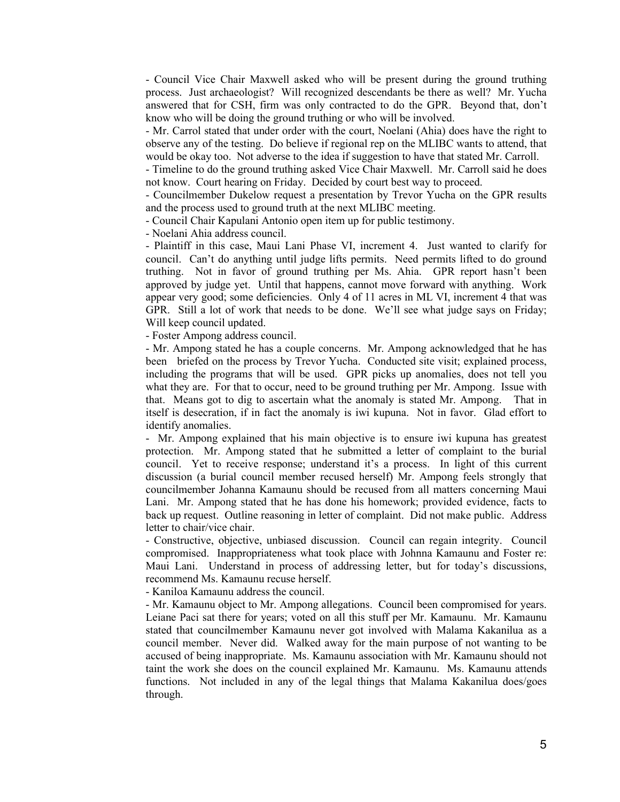- Council Vice Chair Maxwell asked who will be present during the ground truthing process. Just archaeologist? Will recognized descendants be there as well? Mr. Yucha answered that for CSH, firm was only contracted to do the GPR. Beyond that, don't know who will be doing the ground truthing or who will be involved.

- Mr. Carrol stated that under order with the court, Noelani (Ahia) does have the right to observe any of the testing. Do believe if regional rep on the MLIBC wants to attend, that would be okay too. Not adverse to the idea if suggestion to have that stated Mr. Carroll.

- Timeline to do the ground truthing asked Vice Chair Maxwell. Mr. Carroll said he does not know. Court hearing on Friday. Decided by court best way to proceed.

- Councilmember Dukelow request a presentation by Trevor Yucha on the GPR results and the process used to ground truth at the next MLIBC meeting.

- Council Chair Kapulani Antonio open item up for public testimony.

- Noelani Ahia address council.

- Plaintiff in this case, Maui Lani Phase VI, increment 4. Just wanted to clarify for council. Can't do anything until judge lifts permits. Need permits lifted to do ground truthing. Not in favor of ground truthing per Ms. Ahia. GPR report hasn't been approved by judge yet. Until that happens, cannot move forward with anything. Work appear very good; some deficiencies. Only 4 of 11 acres in ML VI, increment 4 that was GPR. Still a lot of work that needs to be done. We'll see what judge says on Friday; Will keep council updated.

- Foster Ampong address council.

- Mr. Ampong stated he has a couple concerns. Mr. Ampong acknowledged that he has been briefed on the process by Trevor Yucha. Conducted site visit; explained process, including the programs that will be used. GPR picks up anomalies, does not tell you what they are. For that to occur, need to be ground truthing per Mr. Ampong. Issue with that. Means got to dig to ascertain what the anomaly is stated Mr. Ampong. That in itself is desecration, if in fact the anomaly is iwi kupuna. Not in favor. Glad effort to identify anomalies.

- Mr. Ampong explained that his main objective is to ensure iwi kupuna has greatest protection. Mr. Ampong stated that he submitted a letter of complaint to the burial council. Yet to receive response; understand it's a process. In light of this current discussion (a burial council member recused herself) Mr. Ampong feels strongly that councilmember Johanna Kamaunu should be recused from all matters concerning Maui Lani. Mr. Ampong stated that he has done his homework; provided evidence, facts to back up request. Outline reasoning in letter of complaint. Did not make public. Address letter to chair/vice chair.

- Constructive, objective, unbiased discussion. Council can regain integrity. Council compromised. Inappropriateness what took place with Johnna Kamaunu and Foster re: Maui Lani. Understand in process of addressing letter, but for today's discussions, recommend Ms. Kamaunu recuse herself.

- Kaniloa Kamaunu address the council.

- Mr. Kamaunu object to Mr. Ampong allegations. Council been compromised for years. Leiane Paci sat there for years; voted on all this stuff per Mr. Kamaunu. Mr. Kamaunu stated that councilmember Kamaunu never got involved with Malama Kakanilua as a council member. Never did. Walked away for the main purpose of not wanting to be accused of being inappropriate. Ms. Kamaunu association with Mr. Kamaunu should not taint the work she does on the council explained Mr. Kamaunu. Ms. Kamaunu attends functions. Not included in any of the legal things that Malama Kakanilua does/goes through.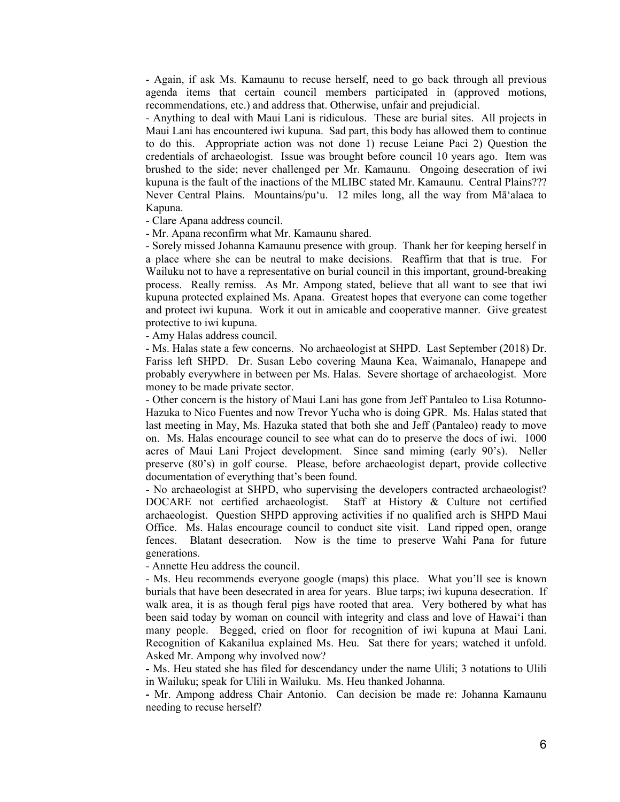- Again, if ask Ms. Kamaunu to recuse herself, need to go back through all previous agenda items that certain council members participated in (approved motions, recommendations, etc.) and address that. Otherwise, unfair and prejudicial.

- Anything to deal with Maui Lani is ridiculous. These are burial sites. All projects in Maui Lani has encountered iwi kupuna. Sad part, this body has allowed them to continue to do this. Appropriate action was not done 1) recuse Leiane Paci 2) Question the credentials of archaeologist. Issue was brought before council 10 years ago. Item was brushed to the side; never challenged per Mr. Kamaunu. Ongoing desecration of iwi kupuna is the fault of the inactions of the MLIBC stated Mr. Kamaunu. Central Plains??? Never Central Plains. Mountains/puʻu. 12 miles long, all the way from Māʻalaea to Kapuna.

- Clare Apana address council.

- Mr. Apana reconfirm what Mr. Kamaunu shared.

- Sorely missed Johanna Kamaunu presence with group. Thank her for keeping herself in a place where she can be neutral to make decisions. Reaffirm that that is true. For Wailuku not to have a representative on burial council in this important, ground-breaking process. Really remiss. As Mr. Ampong stated, believe that all want to see that iwi kupuna protected explained Ms. Apana. Greatest hopes that everyone can come together and protect iwi kupuna. Work it out in amicable and cooperative manner. Give greatest protective to iwi kupuna.

- Amy Halas address council.

- Ms. Halas state a few concerns. No archaeologist at SHPD. Last September (2018) Dr. Fariss left SHPD. Dr. Susan Lebo covering Mauna Kea, Waimanalo, Hanapepe and probably everywhere in between per Ms. Halas. Severe shortage of archaeologist. More money to be made private sector.

- Other concern is the history of Maui Lani has gone from Jeff Pantaleo to Lisa Rotunno-Hazuka to Nico Fuentes and now Trevor Yucha who is doing GPR. Ms. Halas stated that last meeting in May, Ms. Hazuka stated that both she and Jeff (Pantaleo) ready to move on. Ms. Halas encourage council to see what can do to preserve the docs of iwi. 1000 acres of Maui Lani Project development. Since sand miming (early 90's). Neller preserve (80's) in golf course. Please, before archaeologist depart, provide collective documentation of everything that's been found.

- No archaeologist at SHPD, who supervising the developers contracted archaeologist? DOCARE not certified archaeologist. Staff at History & Culture not certified archaeologist. Question SHPD approving activities if no qualified arch is SHPD Maui Office. Ms. Halas encourage council to conduct site visit. Land ripped open, orange fences. Blatant desecration. Now is the time to preserve Wahi Pana for future generations.

- Annette Heu address the council.

- Ms. Heu recommends everyone google (maps) this place. What you'll see is known burials that have been desecrated in area for years. Blue tarps; iwi kupuna desecration. If walk area, it is as though feral pigs have rooted that area. Very bothered by what has been said today by woman on council with integrity and class and love of Hawaiʻi than many people. Begged, cried on floor for recognition of iwi kupuna at Maui Lani. Recognition of Kakanilua explained Ms. Heu. Sat there for years; watched it unfold. Asked Mr. Ampong why involved now?

**-** Ms. Heu stated she has filed for descendancy under the name Ulili; 3 notations to Ulili in Wailuku; speak for Ulili in Wailuku. Ms. Heu thanked Johanna.

**-** Mr. Ampong address Chair Antonio. Can decision be made re: Johanna Kamaunu needing to recuse herself?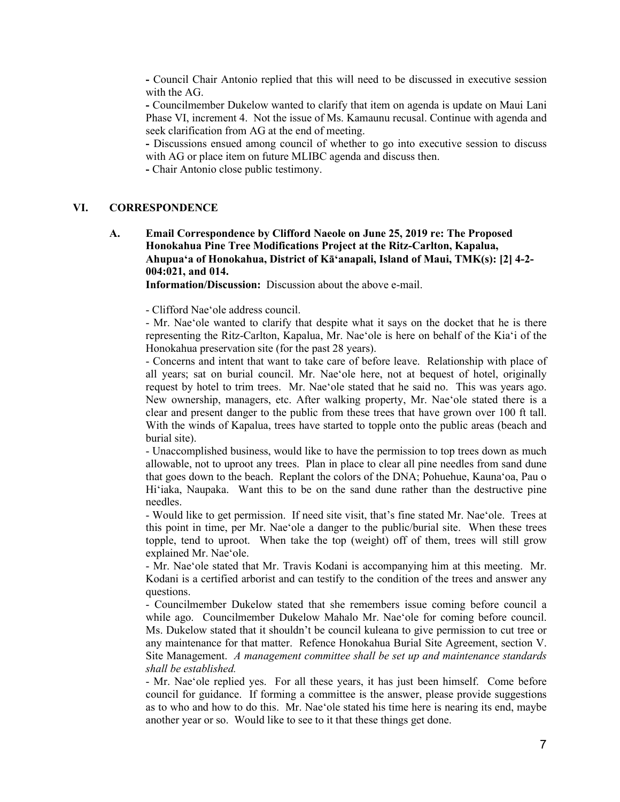**-** Council Chair Antonio replied that this will need to be discussed in executive session with the AG.

**-** Councilmember Dukelow wanted to clarify that item on agenda is update on Maui Lani Phase VI, increment 4. Not the issue of Ms. Kamaunu recusal. Continue with agenda and seek clarification from AG at the end of meeting.

**-** Discussions ensued among council of whether to go into executive session to discuss with AG or place item on future MLIBC agenda and discuss then.

**-** Chair Antonio close public testimony.

#### **VI. CORRESPONDENCE**

**A. Email Correspondence by Clifford Naeole on June 25, 2019 re: The Proposed Honokahua Pine Tree Modifications Project at the Ritz-Carlton, Kapalua, Ahupuaʻa of Honokahua, District of Kāʻanapali, Island of Maui, TMK(s): [2] 4-2- 004:021, and 014.** 

**Information/Discussion:** Discussion about the above e-mail.

- Clifford Naeʻole address council.

- Mr. Naeʻole wanted to clarify that despite what it says on the docket that he is there representing the Ritz-Carlton, Kapalua, Mr. Naeʻole is here on behalf of the Kiaʻi of the Honokahua preservation site (for the past 28 years).

- Concerns and intent that want to take care of before leave. Relationship with place of all years; sat on burial council. Mr. Naeʻole here, not at bequest of hotel, originally request by hotel to trim trees. Mr. Naeʻole stated that he said no. This was years ago. New ownership, managers, etc. After walking property, Mr. Naeʻole stated there is a clear and present danger to the public from these trees that have grown over 100 ft tall. With the winds of Kapalua, trees have started to topple onto the public areas (beach and burial site).

- Unaccomplished business, would like to have the permission to top trees down as much allowable, not to uproot any trees. Plan in place to clear all pine needles from sand dune that goes down to the beach. Replant the colors of the DNA; Pohuehue, Kaunaʻoa, Pau o Hiʻiaka, Naupaka. Want this to be on the sand dune rather than the destructive pine needles.

- Would like to get permission. If need site visit, that's fine stated Mr. Naeʻole. Trees at this point in time, per Mr. Naeʻole a danger to the public/burial site. When these trees topple, tend to uproot. When take the top (weight) off of them, trees will still grow explained Mr. Naeʻole.

- Mr. Naeʻole stated that Mr. Travis Kodani is accompanying him at this meeting. Mr. Kodani is a certified arborist and can testify to the condition of the trees and answer any questions.

- Councilmember Dukelow stated that she remembers issue coming before council a while ago. Councilmember Dukelow Mahalo Mr. Naeʻole for coming before council. Ms. Dukelow stated that it shouldn't be council kuleana to give permission to cut tree or any maintenance for that matter. Refence Honokahua Burial Site Agreement, section V. Site Management. *A management committee shall be set up and maintenance standards shall be established.*

- Mr. Naeʻole replied yes. For all these years, it has just been himself. Come before council for guidance. If forming a committee is the answer, please provide suggestions as to who and how to do this. Mr. Naeʻole stated his time here is nearing its end, maybe another year or so. Would like to see to it that these things get done.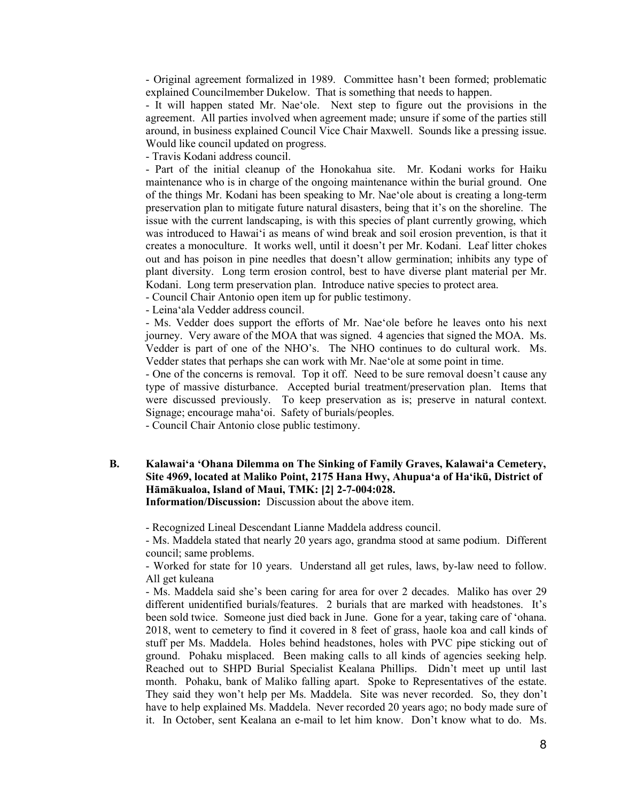- Original agreement formalized in 1989. Committee hasn't been formed; problematic explained Councilmember Dukelow. That is something that needs to happen.

- It will happen stated Mr. Naeʻole. Next step to figure out the provisions in the agreement. All parties involved when agreement made; unsure if some of the parties still around, in business explained Council Vice Chair Maxwell. Sounds like a pressing issue. Would like council updated on progress.

- Travis Kodani address council.

- Part of the initial cleanup of the Honokahua site. Mr. Kodani works for Haiku maintenance who is in charge of the ongoing maintenance within the burial ground. One of the things Mr. Kodani has been speaking to Mr. Naeʻole about is creating a long-term preservation plan to mitigate future natural disasters, being that it's on the shoreline. The issue with the current landscaping, is with this species of plant currently growing, which was introduced to Hawaiʻi as means of wind break and soil erosion prevention, is that it creates a monoculture. It works well, until it doesn't per Mr. Kodani. Leaf litter chokes out and has poison in pine needles that doesn't allow germination; inhibits any type of plant diversity. Long term erosion control, best to have diverse plant material per Mr. Kodani. Long term preservation plan. Introduce native species to protect area.

- Council Chair Antonio open item up for public testimony.

- Leinaʻala Vedder address council.

- Ms. Vedder does support the efforts of Mr. Naeʻole before he leaves onto his next journey. Very aware of the MOA that was signed. 4 agencies that signed the MOA. Ms. Vedder is part of one of the NHO's. The NHO continues to do cultural work. Ms. Vedder states that perhaps she can work with Mr. Naeʻole at some point in time.

- One of the concerns is removal. Top it off. Need to be sure removal doesn't cause any type of massive disturbance. Accepted burial treatment/preservation plan. Items that were discussed previously. To keep preservation as is; preserve in natural context. Signage; encourage mahaʻoi. Safety of burials/peoples.

- Council Chair Antonio close public testimony.

**B. Kalawaiʻa ʻOhana Dilemma on The Sinking of Family Graves, Kalawaiʻa Cemetery, Site 4969, located at Maliko Point, 2175 Hana Hwy, Ahupuaʻa of Haʻikū, District of Hāmākualoa, Island of Maui, TMK: [2] 2-7-004:028. Information/Discussion:** Discussion about the above item.

- Recognized Lineal Descendant Lianne Maddela address council.

- Ms. Maddela stated that nearly 20 years ago, grandma stood at same podium. Different council; same problems.

- Worked for state for 10 years. Understand all get rules, laws, by-law need to follow. All get kuleana

- Ms. Maddela said she's been caring for area for over 2 decades. Maliko has over 29 different unidentified burials/features. 2 burials that are marked with headstones. It's been sold twice. Someone just died back in June. Gone for a year, taking care of ʻohana. 2018, went to cemetery to find it covered in 8 feet of grass, haole koa and call kinds of stuff per Ms. Maddela. Holes behind headstones, holes with PVC pipe sticking out of ground. Pohaku misplaced. Been making calls to all kinds of agencies seeking help. Reached out to SHPD Burial Specialist Kealana Phillips. Didn't meet up until last month. Pohaku, bank of Maliko falling apart. Spoke to Representatives of the estate. They said they won't help per Ms. Maddela. Site was never recorded. So, they don't have to help explained Ms. Maddela. Never recorded 20 years ago; no body made sure of it. In October, sent Kealana an e-mail to let him know. Don't know what to do. Ms.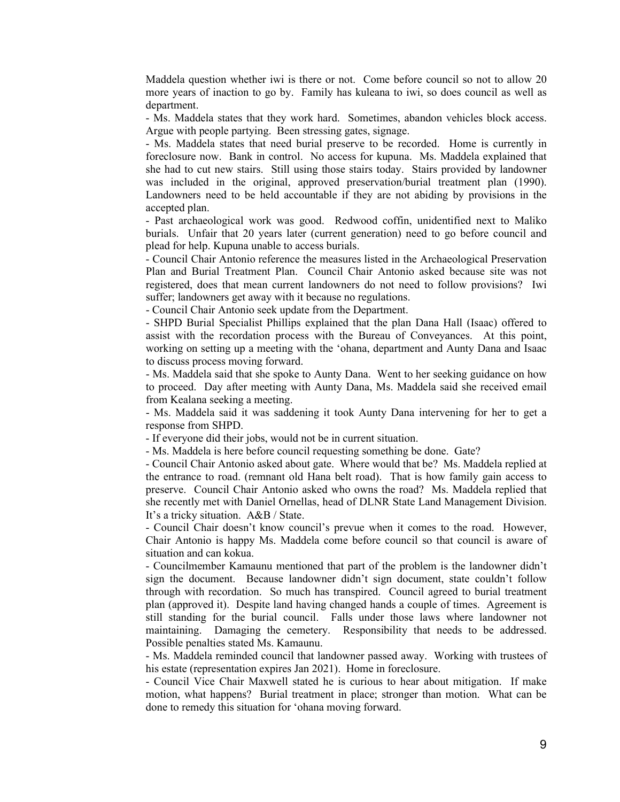Maddela question whether iwi is there or not. Come before council so not to allow 20 more years of inaction to go by. Family has kuleana to iwi, so does council as well as department.

- Ms. Maddela states that they work hard. Sometimes, abandon vehicles block access. Argue with people partying. Been stressing gates, signage.

- Ms. Maddela states that need burial preserve to be recorded. Home is currently in foreclosure now. Bank in control. No access for kupuna. Ms. Maddela explained that she had to cut new stairs. Still using those stairs today. Stairs provided by landowner was included in the original, approved preservation/burial treatment plan (1990). Landowners need to be held accountable if they are not abiding by provisions in the accepted plan.

- Past archaeological work was good. Redwood coffin, unidentified next to Maliko burials. Unfair that 20 years later (current generation) need to go before council and plead for help. Kupuna unable to access burials.

- Council Chair Antonio reference the measures listed in the Archaeological Preservation Plan and Burial Treatment Plan. Council Chair Antonio asked because site was not registered, does that mean current landowners do not need to follow provisions? Iwi suffer; landowners get away with it because no regulations.

- Council Chair Antonio seek update from the Department.

- SHPD Burial Specialist Phillips explained that the plan Dana Hall (Isaac) offered to assist with the recordation process with the Bureau of Conveyances. At this point, working on setting up a meeting with the ʻohana, department and Aunty Dana and Isaac to discuss process moving forward.

- Ms. Maddela said that she spoke to Aunty Dana. Went to her seeking guidance on how to proceed. Day after meeting with Aunty Dana, Ms. Maddela said she received email from Kealana seeking a meeting.

- Ms. Maddela said it was saddening it took Aunty Dana intervening for her to get a response from SHPD.

- If everyone did their jobs, would not be in current situation.

- Ms. Maddela is here before council requesting something be done. Gate?

- Council Chair Antonio asked about gate. Where would that be? Ms. Maddela replied at the entrance to road. (remnant old Hana belt road). That is how family gain access to preserve. Council Chair Antonio asked who owns the road? Ms. Maddela replied that she recently met with Daniel Ornellas, head of DLNR State Land Management Division. It's a tricky situation. A&B / State.

- Council Chair doesn't know council's prevue when it comes to the road. However, Chair Antonio is happy Ms. Maddela come before council so that council is aware of situation and can kokua.

- Councilmember Kamaunu mentioned that part of the problem is the landowner didn't sign the document. Because landowner didn't sign document, state couldn't follow through with recordation. So much has transpired. Council agreed to burial treatment plan (approved it). Despite land having changed hands a couple of times. Agreement is still standing for the burial council. Falls under those laws where landowner not maintaining. Damaging the cemetery. Responsibility that needs to be addressed. Possible penalties stated Ms. Kamaunu.

- Ms. Maddela reminded council that landowner passed away. Working with trustees of his estate (representation expires Jan 2021). Home in foreclosure.

- Council Vice Chair Maxwell stated he is curious to hear about mitigation. If make motion, what happens? Burial treatment in place; stronger than motion. What can be done to remedy this situation for ʻohana moving forward.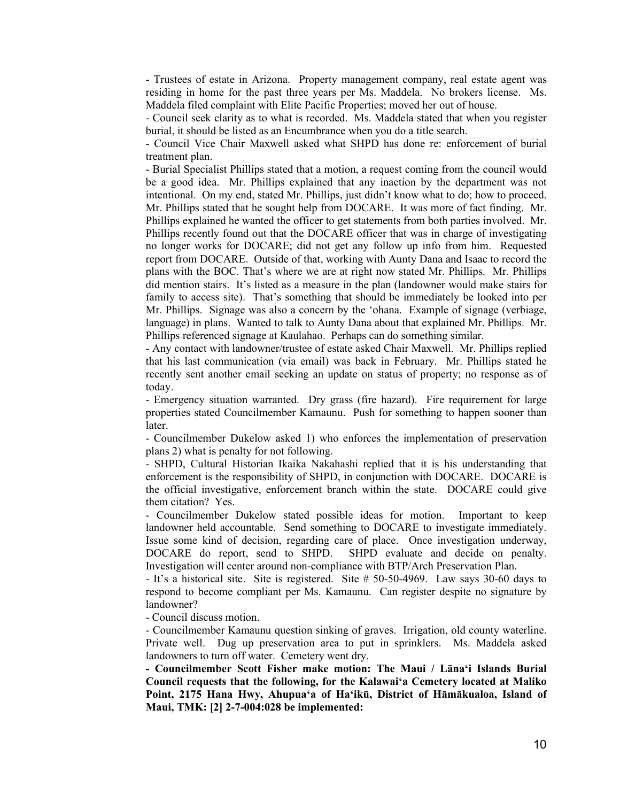- Trustees of estate in Arizona. Property management company, real estate agent was residing in home for the past three years per Ms. Maddela. No brokers license. Ms. Maddela filed complaint with Elite Pacific Properties; moved her out of house.

- Council seek clarity as to what is recorded. Ms. Maddela stated that when you register burial, it should be listed as an Encumbrance when you do a title search.

- Council Vice Chair Maxwell asked what SHPD has done re: enforcement of burial treatment plan.

- Burial Specialist Phillips stated that a motion, a request coming from the council would be a good idea. Mr. Phillips explained that any inaction by the department was not intentional. On my end, stated Mr. Phillips, just didn't know what to do; how to proceed. Mr. Phillips stated that he sought help from DOCARE. It was more of fact finding. Mr. Phillips explained he wanted the officer to get statements from both parties involved. Mr. Phillips recently found out that the DOCARE officer that was in charge of investigating no longer works for DOCARE; did not get any follow up info from him. Requested report from DOCARE. Outside of that, working with Aunty Dana and Isaac to record the plans with the BOC. That's where we are at right now stated Mr. Phillips. Mr. Phillips did mention stairs. It's listed as a measure in the plan (landowner would make stairs for family to access site). That's something that should be immediately be looked into per Mr. Phillips. Signage was also a concern by the ʻohana. Example of signage (verbiage, language) in plans. Wanted to talk to Aunty Dana about that explained Mr. Phillips. Mr. Phillips referenced signage at Kaulahao. Perhaps can do something similar.

- Any contact with landowner/trustee of estate asked Chair Maxwell. Mr. Phillips replied that his last communication (via email) was back in February. Mr. Phillips stated he recently sent another email seeking an update on status of property; no response as of today.

- Emergency situation warranted. Dry grass (fire hazard). Fire requirement for large properties stated Councilmember Kamaunu. Push for something to happen sooner than later.

- Councilmember Dukelow asked 1) who enforces the implementation of preservation plans 2) what is penalty for not following.

- SHPD, Cultural Historian Ikaika Nakahashi replied that it is his understanding that enforcement is the responsibility of SHPD, in conjunction with DOCARE. DOCARE is the official investigative, enforcement branch within the state. DOCARE could give them citation? Yes.

- Councilmember Dukelow stated possible ideas for motion. Important to keep landowner held accountable. Send something to DOCARE to investigate immediately. Issue some kind of decision, regarding care of place. Once investigation underway, DOCARE do report, send to SHPD. SHPD evaluate and decide on penalty. Investigation will center around non-compliance with BTP/Arch Preservation Plan.

- It's a historical site. Site is registered. Site # 50-50-4969. Law says 30-60 days to respond to become compliant per Ms. Kamaunu. Can register despite no signature by landowner?

- Council discuss motion.

- Councilmember Kamaunu question sinking of graves. Irrigation, old county waterline. Private well. Dug up preservation area to put in sprinklers. Ms. Maddela asked landowners to turn off water. Cemetery went dry.

**- Councilmember Scott Fisher make motion: The Maui / Lānaʻi Islands Burial Council requests that the following, for the Kalawaiʻa Cemetery located at Maliko Point, 2175 Hana Hwy, Ahupuaʻa of Haʻikū, District of Hāmākualoa, Island of Maui, TMK: [2] 2-7-004:028 be implemented:**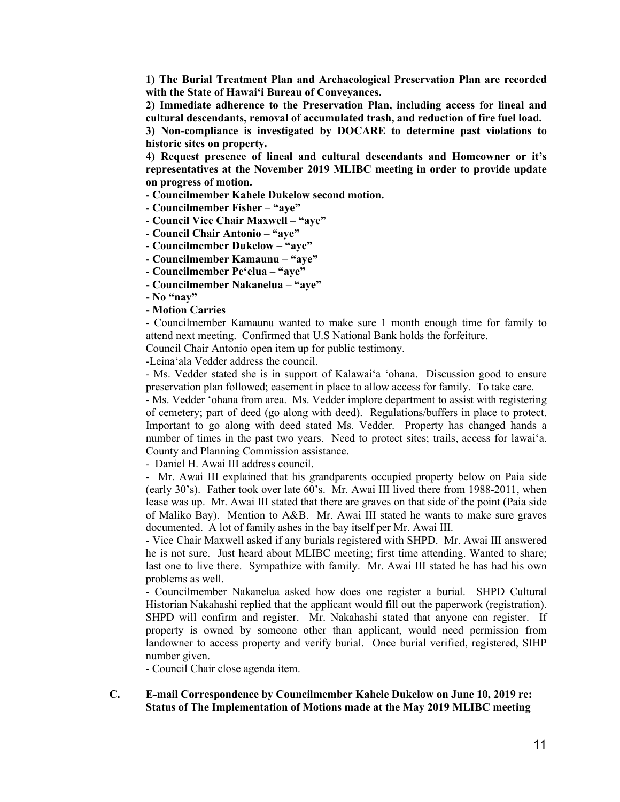**1) The Burial Treatment Plan and Archaeological Preservation Plan are recorded with the State of Hawaiʻi Bureau of Conveyances.**

**2) Immediate adherence to the Preservation Plan, including access for lineal and cultural descendants, removal of accumulated trash, and reduction of fire fuel load.** 

**3) Non-compliance is investigated by DOCARE to determine past violations to historic sites on property.** 

**4) Request presence of lineal and cultural descendants and Homeowner or it's representatives at the November 2019 MLIBC meeting in order to provide update on progress of motion.** 

- **- Councilmember Kahele Dukelow second motion.**
- **- Councilmember Fisher – "aye"**
- **- Council Vice Chair Maxwell – "aye"**
- **- Council Chair Antonio – "aye"**
- **- Councilmember Dukelow – "aye"**
- **- Councilmember Kamaunu – "aye"**
- **- Councilmember Peʻelua – "aye"**
- **- Councilmember Nakanelua – "aye"**
- **- No "nay"**
- **- Motion Carries**

- Councilmember Kamaunu wanted to make sure 1 month enough time for family to attend next meeting. Confirmed that U.S National Bank holds the forfeiture.

Council Chair Antonio open item up for public testimony.

-Leinaʻala Vedder address the council.

- Ms. Vedder stated she is in support of Kalawaiʻa ʻohana. Discussion good to ensure preservation plan followed; easement in place to allow access for family. To take care.

- Ms. Vedder ʻohana from area. Ms. Vedder implore department to assist with registering of cemetery; part of deed (go along with deed). Regulations/buffers in place to protect. Important to go along with deed stated Ms. Vedder. Property has changed hands a number of times in the past two years. Need to protect sites; trails, access for lawaiʻa. County and Planning Commission assistance.

- Daniel H. Awai III address council.

- Mr. Awai III explained that his grandparents occupied property below on Paia side (early 30's). Father took over late 60's. Mr. Awai III lived there from 1988-2011, when lease was up. Mr. Awai III stated that there are graves on that side of the point (Paia side of Maliko Bay). Mention to A&B. Mr. Awai III stated he wants to make sure graves documented. A lot of family ashes in the bay itself per Mr. Awai III.

- Vice Chair Maxwell asked if any burials registered with SHPD. Mr. Awai III answered he is not sure. Just heard about MLIBC meeting; first time attending. Wanted to share; last one to live there. Sympathize with family. Mr. Awai III stated he has had his own problems as well.

- Councilmember Nakanelua asked how does one register a burial. SHPD Cultural Historian Nakahashi replied that the applicant would fill out the paperwork (registration). SHPD will confirm and register. Mr. Nakahashi stated that anyone can register. If property is owned by someone other than applicant, would need permission from landowner to access property and verify burial. Once burial verified, registered, SIHP number given.

- Council Chair close agenda item.

#### **C. E-mail Correspondence by Councilmember Kahele Dukelow on June 10, 2019 re: Status of The Implementation of Motions made at the May 2019 MLIBC meeting**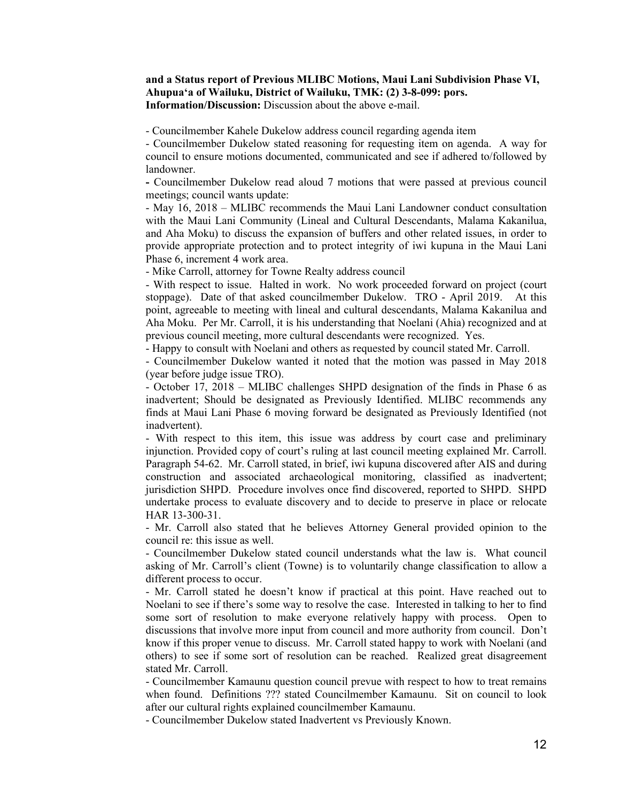#### **and a Status report of Previous MLIBC Motions, Maui Lani Subdivision Phase VI, Ahupuaʻa of Wailuku, District of Wailuku, TMK: (2) 3-8-099: pors. Information/Discussion:** Discussion about the above e-mail.

- Councilmember Kahele Dukelow address council regarding agenda item

- Councilmember Dukelow stated reasoning for requesting item on agenda. A way for council to ensure motions documented, communicated and see if adhered to/followed by landowner.

**-** Councilmember Dukelow read aloud 7 motions that were passed at previous council meetings; council wants update:

- May 16, 2018 – MLIBC recommends the Maui Lani Landowner conduct consultation with the Maui Lani Community (Lineal and Cultural Descendants, Malama Kakanilua, and Aha Moku) to discuss the expansion of buffers and other related issues, in order to provide appropriate protection and to protect integrity of iwi kupuna in the Maui Lani Phase 6, increment 4 work area.

- Mike Carroll, attorney for Towne Realty address council

- With respect to issue. Halted in work. No work proceeded forward on project (court stoppage). Date of that asked councilmember Dukelow. TRO - April 2019. At this point, agreeable to meeting with lineal and cultural descendants, Malama Kakanilua and Aha Moku. Per Mr. Carroll, it is his understanding that Noelani (Ahia) recognized and at previous council meeting, more cultural descendants were recognized. Yes.

- Happy to consult with Noelani and others as requested by council stated Mr. Carroll.

- Councilmember Dukelow wanted it noted that the motion was passed in May 2018 (year before judge issue TRO).

- October 17, 2018 – MLIBC challenges SHPD designation of the finds in Phase 6 as inadvertent; Should be designated as Previously Identified. MLIBC recommends any finds at Maui Lani Phase 6 moving forward be designated as Previously Identified (not inadvertent).

- With respect to this item, this issue was address by court case and preliminary injunction. Provided copy of court's ruling at last council meeting explained Mr. Carroll. Paragraph 54-62. Mr. Carroll stated, in brief, iwi kupuna discovered after AIS and during construction and associated archaeological monitoring, classified as inadvertent; jurisdiction SHPD. Procedure involves once find discovered, reported to SHPD. SHPD undertake process to evaluate discovery and to decide to preserve in place or relocate HAR 13-300-31.

- Mr. Carroll also stated that he believes Attorney General provided opinion to the council re: this issue as well.

- Councilmember Dukelow stated council understands what the law is. What council asking of Mr. Carroll's client (Towne) is to voluntarily change classification to allow a different process to occur.

- Mr. Carroll stated he doesn't know if practical at this point. Have reached out to Noelani to see if there's some way to resolve the case. Interested in talking to her to find some sort of resolution to make everyone relatively happy with process. Open to discussions that involve more input from council and more authority from council. Don't know if this proper venue to discuss. Mr. Carroll stated happy to work with Noelani (and others) to see if some sort of resolution can be reached. Realized great disagreement stated Mr. Carroll.

- Councilmember Kamaunu question council prevue with respect to how to treat remains when found. Definitions ??? stated Councilmember Kamaunu. Sit on council to look after our cultural rights explained councilmember Kamaunu.

- Councilmember Dukelow stated Inadvertent vs Previously Known.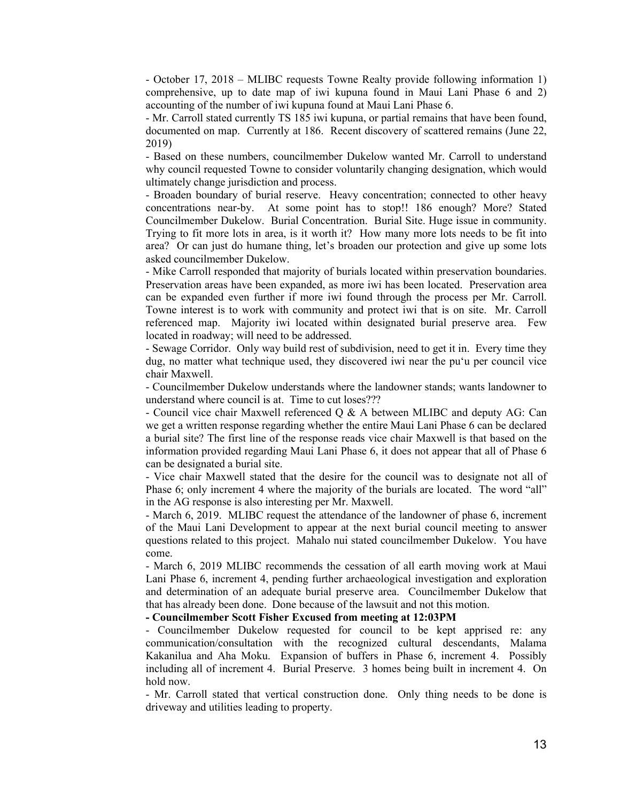- October 17, 2018 – MLIBC requests Towne Realty provide following information 1) comprehensive, up to date map of iwi kupuna found in Maui Lani Phase 6 and 2) accounting of the number of iwi kupuna found at Maui Lani Phase 6.

- Mr. Carroll stated currently TS 185 iwi kupuna, or partial remains that have been found, documented on map. Currently at 186. Recent discovery of scattered remains (June 22, 2019)

- Based on these numbers, councilmember Dukelow wanted Mr. Carroll to understand why council requested Towne to consider voluntarily changing designation, which would ultimately change jurisdiction and process.

- Broaden boundary of burial reserve. Heavy concentration; connected to other heavy concentrations near-by. At some point has to stop!! 186 enough? More? Stated Councilmember Dukelow. Burial Concentration. Burial Site. Huge issue in community. Trying to fit more lots in area, is it worth it? How many more lots needs to be fit into area? Or can just do humane thing, let's broaden our protection and give up some lots asked councilmember Dukelow.

- Mike Carroll responded that majority of burials located within preservation boundaries. Preservation areas have been expanded, as more iwi has been located. Preservation area can be expanded even further if more iwi found through the process per Mr. Carroll. Towne interest is to work with community and protect iwi that is on site. Mr. Carroll referenced map. Majority iwi located within designated burial preserve area. Few located in roadway; will need to be addressed.

- Sewage Corridor. Only way build rest of subdivision, need to get it in. Every time they dug, no matter what technique used, they discovered iwi near the puʻu per council vice chair Maxwell.

- Councilmember Dukelow understands where the landowner stands; wants landowner to understand where council is at. Time to cut loses???

- Council vice chair Maxwell referenced Q & A between MLIBC and deputy AG: Can we get a written response regarding whether the entire Maui Lani Phase 6 can be declared a burial site? The first line of the response reads vice chair Maxwell is that based on the information provided regarding Maui Lani Phase 6, it does not appear that all of Phase 6 can be designated a burial site.

- Vice chair Maxwell stated that the desire for the council was to designate not all of Phase 6; only increment 4 where the majority of the burials are located. The word "all" in the AG response is also interesting per Mr. Maxwell.

- March 6, 2019. MLIBC request the attendance of the landowner of phase 6, increment of the Maui Lani Development to appear at the next burial council meeting to answer questions related to this project. Mahalo nui stated councilmember Dukelow. You have come.

- March 6, 2019 MLIBC recommends the cessation of all earth moving work at Maui Lani Phase 6, increment 4, pending further archaeological investigation and exploration and determination of an adequate burial preserve area. Councilmember Dukelow that that has already been done. Done because of the lawsuit and not this motion.

## **- Councilmember Scott Fisher Excused from meeting at 12:03PM**

- Councilmember Dukelow requested for council to be kept apprised re: any communication/consultation with the recognized cultural descendants, Malama Kakanilua and Aha Moku. Expansion of buffers in Phase 6, increment 4. Possibly including all of increment 4. Burial Preserve. 3 homes being built in increment 4. On hold now.

- Mr. Carroll stated that vertical construction done. Only thing needs to be done is driveway and utilities leading to property.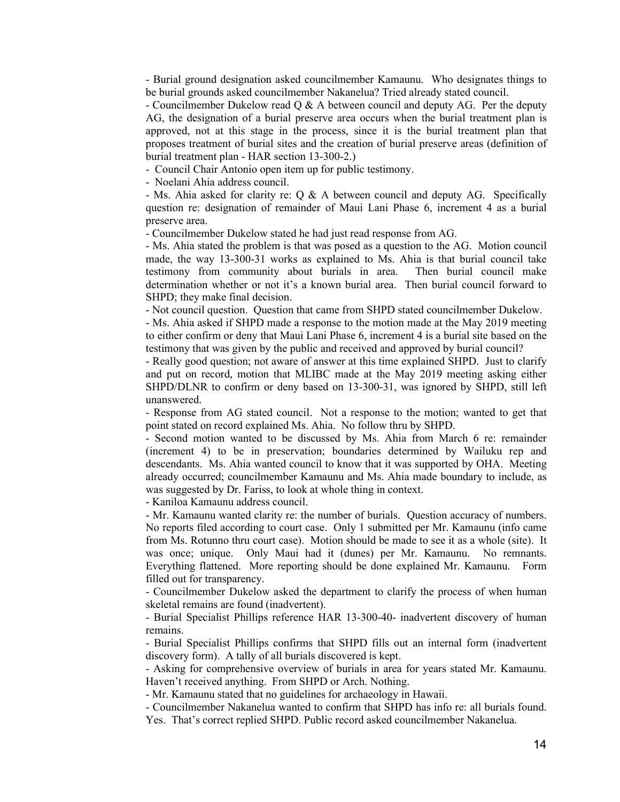- Burial ground designation asked councilmember Kamaunu. Who designates things to be burial grounds asked councilmember Nakanelua? Tried already stated council.

- Councilmember Dukelow read  $Q \& A$  between council and deputy AG. Per the deputy AG, the designation of a burial preserve area occurs when the burial treatment plan is approved, not at this stage in the process, since it is the burial treatment plan that proposes treatment of burial sites and the creation of burial preserve areas (definition of burial treatment plan - HAR section 13-300-2.)

- Council Chair Antonio open item up for public testimony.

- Noelani Ahia address council.

- Ms. Ahia asked for clarity re: Q & A between council and deputy AG. Specifically question re: designation of remainder of Maui Lani Phase 6, increment 4 as a burial preserve area.

- Councilmember Dukelow stated he had just read response from AG.

- Ms. Ahia stated the problem is that was posed as a question to the AG. Motion council made, the way 13-300-31 works as explained to Ms. Ahia is that burial council take testimony from community about burials in area. Then burial council make determination whether or not it's a known burial area. Then burial council forward to SHPD; they make final decision.

- Not council question. Question that came from SHPD stated councilmember Dukelow.

- Ms. Ahia asked if SHPD made a response to the motion made at the May 2019 meeting to either confirm or deny that Maui Lani Phase 6, increment 4 is a burial site based on the testimony that was given by the public and received and approved by burial council?

- Really good question; not aware of answer at this time explained SHPD. Just to clarify and put on record, motion that MLIBC made at the May 2019 meeting asking either SHPD/DLNR to confirm or deny based on 13-300-31, was ignored by SHPD, still left unanswered.

- Response from AG stated council. Not a response to the motion; wanted to get that point stated on record explained Ms. Ahia. No follow thru by SHPD.

- Second motion wanted to be discussed by Ms. Ahia from March 6 re: remainder (increment 4) to be in preservation; boundaries determined by Wailuku rep and descendants. Ms. Ahia wanted council to know that it was supported by OHA. Meeting already occurred; councilmember Kamaunu and Ms. Ahia made boundary to include, as was suggested by Dr. Fariss, to look at whole thing in context.

- Kaniloa Kamaunu address council.

- Mr. Kamaunu wanted clarity re: the number of burials. Question accuracy of numbers. No reports filed according to court case. Only 1 submitted per Mr. Kamaunu (info came from Ms. Rotunno thru court case). Motion should be made to see it as a whole (site). It was once; unique. Only Maui had it (dunes) per Mr. Kamaunu. No remnants. Everything flattened. More reporting should be done explained Mr. Kamaunu. Form filled out for transparency.

- Councilmember Dukelow asked the department to clarify the process of when human skeletal remains are found (inadvertent).

- Burial Specialist Phillips reference HAR 13-300-40- inadvertent discovery of human remains.

- Burial Specialist Phillips confirms that SHPD fills out an internal form (inadvertent discovery form). A tally of all burials discovered is kept.

- Asking for comprehensive overview of burials in area for years stated Mr. Kamaunu. Haven't received anything. From SHPD or Arch. Nothing.

- Mr. Kamaunu stated that no guidelines for archaeology in Hawaii.

- Councilmember Nakanelua wanted to confirm that SHPD has info re: all burials found. Yes. That's correct replied SHPD. Public record asked councilmember Nakanelua.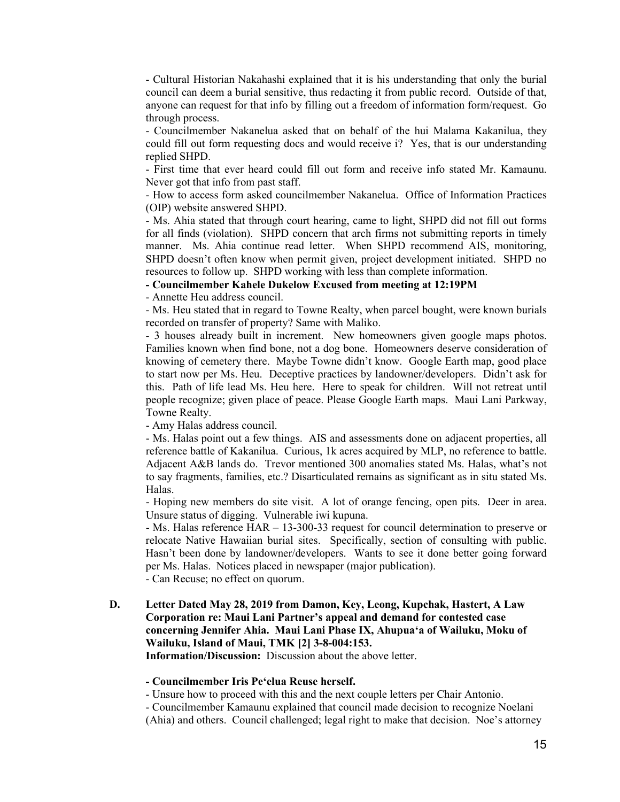- Cultural Historian Nakahashi explained that it is his understanding that only the burial council can deem a burial sensitive, thus redacting it from public record. Outside of that, anyone can request for that info by filling out a freedom of information form/request. Go through process.

- Councilmember Nakanelua asked that on behalf of the hui Malama Kakanilua, they could fill out form requesting docs and would receive i? Yes, that is our understanding replied SHPD.

- First time that ever heard could fill out form and receive info stated Mr. Kamaunu. Never got that info from past staff.

- How to access form asked councilmember Nakanelua. Office of Information Practices (OIP) website answered SHPD.

- Ms. Ahia stated that through court hearing, came to light, SHPD did not fill out forms for all finds (violation). SHPD concern that arch firms not submitting reports in timely manner. Ms. Ahia continue read letter. When SHPD recommend AIS, monitoring, SHPD doesn't often know when permit given, project development initiated. SHPD no resources to follow up. SHPD working with less than complete information.

## **- Councilmember Kahele Dukelow Excused from meeting at 12:19PM**

- Annette Heu address council.

- Ms. Heu stated that in regard to Towne Realty, when parcel bought, were known burials recorded on transfer of property? Same with Maliko.

- 3 houses already built in increment. New homeowners given google maps photos. Families known when find bone, not a dog bone. Homeowners deserve consideration of knowing of cemetery there. Maybe Towne didn't know. Google Earth map, good place to start now per Ms. Heu. Deceptive practices by landowner/developers. Didn't ask for this. Path of life lead Ms. Heu here. Here to speak for children. Will not retreat until people recognize; given place of peace. Please Google Earth maps. Maui Lani Parkway, Towne Realty.

- Amy Halas address council.

- Ms. Halas point out a few things. AIS and assessments done on adjacent properties, all reference battle of Kakanilua. Curious, 1k acres acquired by MLP, no reference to battle. Adjacent A&B lands do. Trevor mentioned 300 anomalies stated Ms. Halas, what's not to say fragments, families, etc.? Disarticulated remains as significant as in situ stated Ms. Halas.

- Hoping new members do site visit. A lot of orange fencing, open pits. Deer in area. Unsure status of digging. Vulnerable iwi kupuna.

- Ms. Halas reference HAR – 13-300-33 request for council determination to preserve or relocate Native Hawaiian burial sites. Specifically, section of consulting with public. Hasn't been done by landowner/developers. Wants to see it done better going forward per Ms. Halas. Notices placed in newspaper (major publication).

- Can Recuse; no effect on quorum.

**D. Letter Dated May 28, 2019 from Damon, Key, Leong, Kupchak, Hastert, A Law Corporation re: Maui Lani Partner's appeal and demand for contested case concerning Jennifer Ahia. Maui Lani Phase IX, Ahupuaʻa of Wailuku, Moku of Wailuku, Island of Maui, TMK [2] 3-8-004:153.**

**Information/Discussion:** Discussion about the above letter.

#### **- Councilmember Iris Peʻelua Reuse herself.**

- Unsure how to proceed with this and the next couple letters per Chair Antonio.

- Councilmember Kamaunu explained that council made decision to recognize Noelani (Ahia) and others. Council challenged; legal right to make that decision. Noe's attorney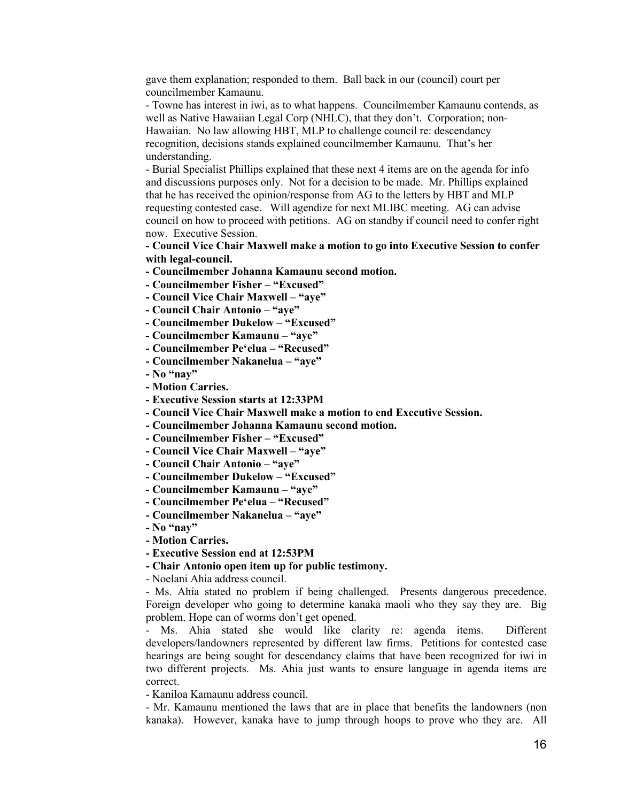gave them explanation; responded to them. Ball back in our (council) court per councilmember Kamaunu.

- Towne has interest in iwi, as to what happens. Councilmember Kamaunu contends, as well as Native Hawaiian Legal Corp (NHLC), that they don't. Corporation; non-Hawaiian. No law allowing HBT, MLP to challenge council re: descendancy recognition, decisions stands explained councilmember Kamaunu. That's her understanding.

- Burial Specialist Phillips explained that these next 4 items are on the agenda for info and discussions purposes only. Not for a decision to be made. Mr. Phillips explained that he has received the opinion/response from AG to the letters by HBT and MLP requesting contested case. Will agendize for next MLIBC meeting. AG can advise council on how to proceed with petitions. AG on standby if council need to confer right now. Executive Session.

**- Council Vice Chair Maxwell make a motion to go into Executive Session to confer with legal-council.**

- **- Councilmember Johanna Kamaunu second motion.**
- **- Councilmember Fisher – "Excused"**
- **- Council Vice Chair Maxwell – "aye"**
- **- Council Chair Antonio – "aye"**
- **- Councilmember Dukelow – "Excused"**
- **- Councilmember Kamaunu – "aye"**
- **- Councilmember Peʻelua – "Recused"**
- **- Councilmember Nakanelua – "aye"**
- **- No "nay"**
- **- Motion Carries.**
- **- Executive Session starts at 12:33PM**
- **- Council Vice Chair Maxwell make a motion to end Executive Session.**
- **- Councilmember Johanna Kamaunu second motion.**
- **- Councilmember Fisher – "Excused"**
- **- Council Vice Chair Maxwell – "aye"**
- **- Council Chair Antonio – "aye"**
- **- Councilmember Dukelow – "Excused"**
- **- Councilmember Kamaunu – "aye"**
- **- Councilmember Peʻelua – "Recused"**
- **- Councilmember Nakanelua – "aye"**
- **- No "nay"**
- **- Motion Carries.**
- **- Executive Session end at 12:53PM**

**- Chair Antonio open item up for public testimony.**

- Noelani Ahia address council.

- Ms. Ahia stated no problem if being challenged. Presents dangerous precedence. Foreign developer who going to determine kanaka maoli who they say they are. Big problem. Hope can of worms don't get opened.

- Ms. Ahia stated she would like clarity re: agenda items. Different developers/landowners represented by different law firms. Petitions for contested case hearings are being sought for descendancy claims that have been recognized for iwi in two different projects. Ms. Ahia just wants to ensure language in agenda items are correct.

- Kaniloa Kamaunu address council.

- Mr. Kamaunu mentioned the laws that are in place that benefits the landowners (non kanaka). However, kanaka have to jump through hoops to prove who they are. All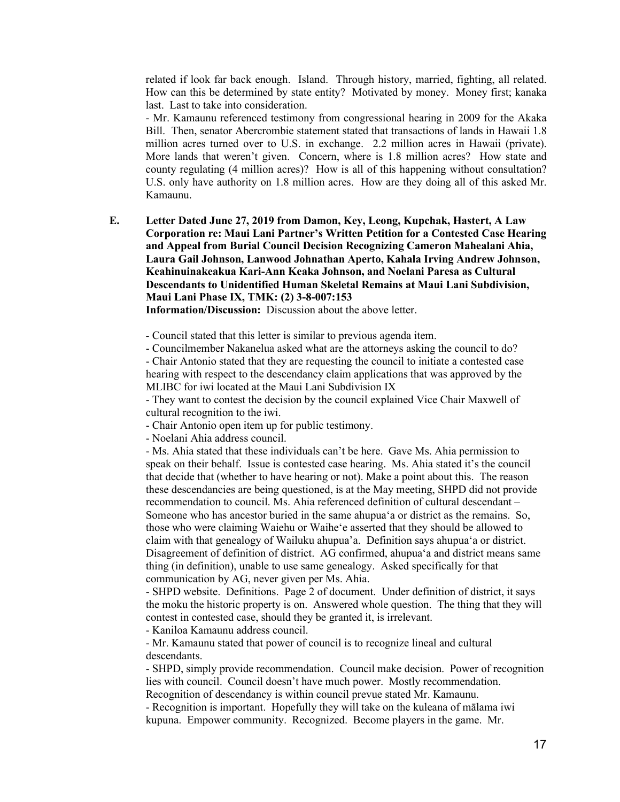related if look far back enough. Island. Through history, married, fighting, all related. How can this be determined by state entity? Motivated by money. Money first; kanaka last. Last to take into consideration.

- Mr. Kamaunu referenced testimony from congressional hearing in 2009 for the Akaka Bill. Then, senator Abercrombie statement stated that transactions of lands in Hawaii 1.8 million acres turned over to U.S. in exchange. 2.2 million acres in Hawaii (private). More lands that weren't given. Concern, where is 1.8 million acres? How state and county regulating (4 million acres)? How is all of this happening without consultation? U.S. only have authority on 1.8 million acres. How are they doing all of this asked Mr. Kamaunu.

**E. Letter Dated June 27, 2019 from Damon, Key, Leong, Kupchak, Hastert, A Law Corporation re: Maui Lani Partner's Written Petition for a Contested Case Hearing and Appeal from Burial Council Decision Recognizing Cameron Mahealani Ahia, Laura Gail Johnson, Lanwood Johnathan Aperto, Kahala Irving Andrew Johnson, Keahinuinakeakua Kari-Ann Keaka Johnson, and Noelani Paresa as Cultural Descendants to Unidentified Human Skeletal Remains at Maui Lani Subdivision, Maui Lani Phase IX, TMK: (2) 3-8-007:153**

**Information/Discussion:** Discussion about the above letter.

- Council stated that this letter is similar to previous agenda item.

- Councilmember Nakanelua asked what are the attorneys asking the council to do?

- Chair Antonio stated that they are requesting the council to initiate a contested case hearing with respect to the descendancy claim applications that was approved by the MLIBC for iwi located at the Maui Lani Subdivision IX

- They want to contest the decision by the council explained Vice Chair Maxwell of cultural recognition to the iwi.

- Chair Antonio open item up for public testimony.

- Noelani Ahia address council.

- Ms. Ahia stated that these individuals can't be here. Gave Ms. Ahia permission to speak on their behalf. Issue is contested case hearing. Ms. Ahia stated it's the council that decide that (whether to have hearing or not). Make a point about this. The reason these descendancies are being questioned, is at the May meeting, SHPD did not provide recommendation to council. Ms. Ahia referenced definition of cultural descendant – Someone who has ancestor buried in the same ahupuaʻa or district as the remains. So, those who were claiming Waiehu or Waiheʻe asserted that they should be allowed to claim with that genealogy of Wailuku ahupua'a. Definition says ahupuaʻa or district. Disagreement of definition of district. AG confirmed, ahupuaʻa and district means same thing (in definition), unable to use same genealogy. Asked specifically for that communication by AG, never given per Ms. Ahia.

- SHPD website. Definitions. Page 2 of document. Under definition of district, it says the moku the historic property is on. Answered whole question. The thing that they will contest in contested case, should they be granted it, is irrelevant.

- Kaniloa Kamaunu address council.

- Mr. Kamaunu stated that power of council is to recognize lineal and cultural descendants.

- SHPD, simply provide recommendation. Council make decision. Power of recognition lies with council. Council doesn't have much power. Mostly recommendation. Recognition of descendancy is within council prevue stated Mr. Kamaunu.

- Recognition is important. Hopefully they will take on the kuleana of mālama iwi kupuna. Empower community. Recognized. Become players in the game. Mr.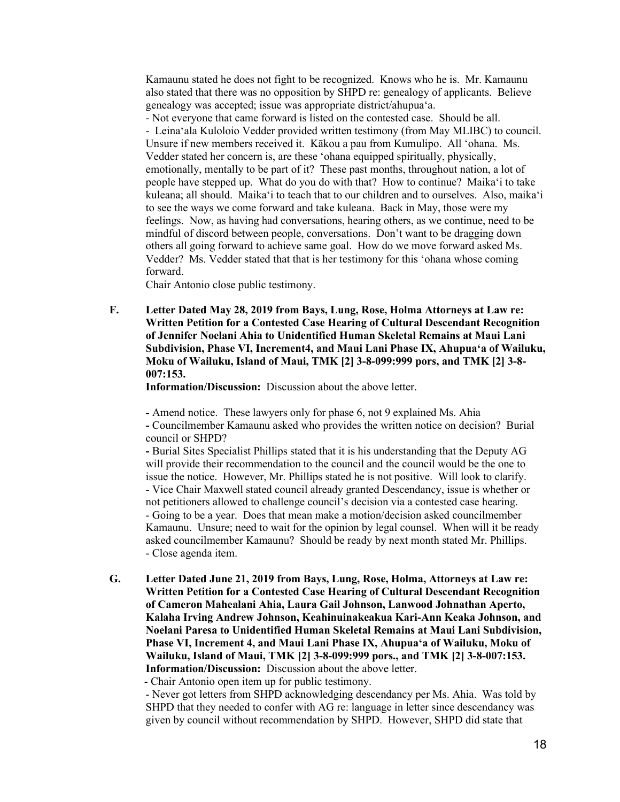Kamaunu stated he does not fight to be recognized. Knows who he is. Mr. Kamaunu also stated that there was no opposition by SHPD re: genealogy of applicants. Believe genealogy was accepted; issue was appropriate district/ahupuaʻa.

- Not everyone that came forward is listed on the contested case. Should be all. - Leinaʻala Kuloloio Vedder provided written testimony (from May MLIBC) to council. Unsure if new members received it. Kākou a pau from Kumulipo. All ʻohana. Ms. Vedder stated her concern is, are these ʻohana equipped spiritually, physically, emotionally, mentally to be part of it? These past months, throughout nation, a lot of people have stepped up. What do you do with that? How to continue? Maikaʻi to take kuleana; all should. Maikaʻi to teach that to our children and to ourselves. Also, maikaʻi to see the ways we come forward and take kuleana. Back in May, those were my feelings. Now, as having had conversations, hearing others, as we continue, need to be mindful of discord between people, conversations. Don't want to be dragging down others all going forward to achieve same goal. How do we move forward asked Ms. Vedder? Ms. Vedder stated that that is her testimony for this ʻohana whose coming forward.

Chair Antonio close public testimony.

**F. Letter Dated May 28, 2019 from Bays, Lung, Rose, Holma Attorneys at Law re: Written Petition for a Contested Case Hearing of Cultural Descendant Recognition of Jennifer Noelani Ahia to Unidentified Human Skeletal Remains at Maui Lani Subdivision, Phase VI, Increment4, and Maui Lani Phase IX, Ahupuaʻa of Wailuku, Moku of Wailuku, Island of Maui, TMK [2] 3-8-099:999 pors, and TMK [2] 3-8- 007:153.**

**Information/Discussion:** Discussion about the above letter.

**-** Amend notice. These lawyers only for phase 6, not 9 explained Ms. Ahia **-** Councilmember Kamaunu asked who provides the written notice on decision? Burial council or SHPD?

**-** Burial Sites Specialist Phillips stated that it is his understanding that the Deputy AG will provide their recommendation to the council and the council would be the one to issue the notice. However, Mr. Phillips stated he is not positive. Will look to clarify. - Vice Chair Maxwell stated council already granted Descendancy, issue is whether or not petitioners allowed to challenge council's decision via a contested case hearing. - Going to be a year. Does that mean make a motion/decision asked councilmember Kamaunu. Unsure; need to wait for the opinion by legal counsel. When will it be ready asked councilmember Kamaunu? Should be ready by next month stated Mr. Phillips. - Close agenda item.

**G. Letter Dated June 21, 2019 from Bays, Lung, Rose, Holma, Attorneys at Law re: Written Petition for a Contested Case Hearing of Cultural Descendant Recognition of Cameron Mahealani Ahia, Laura Gail Johnson, Lanwood Johnathan Aperto, Kalaha Irving Andrew Johnson, Keahinuinakeakua Kari-Ann Keaka Johnson, and Noelani Paresa to Unidentified Human Skeletal Remains at Maui Lani Subdivision, Phase VI, Increment 4, and Maui Lani Phase IX, Ahupuaʻa of Wailuku, Moku of Wailuku, Island of Maui, TMK [2] 3-8-099:999 pors., and TMK [2] 3-8-007:153. Information/Discussion:** Discussion about the above letter.

- Chair Antonio open item up for public testimony.

- Never got letters from SHPD acknowledging descendancy per Ms. Ahia. Was told by SHPD that they needed to confer with AG re: language in letter since descendancy was given by council without recommendation by SHPD. However, SHPD did state that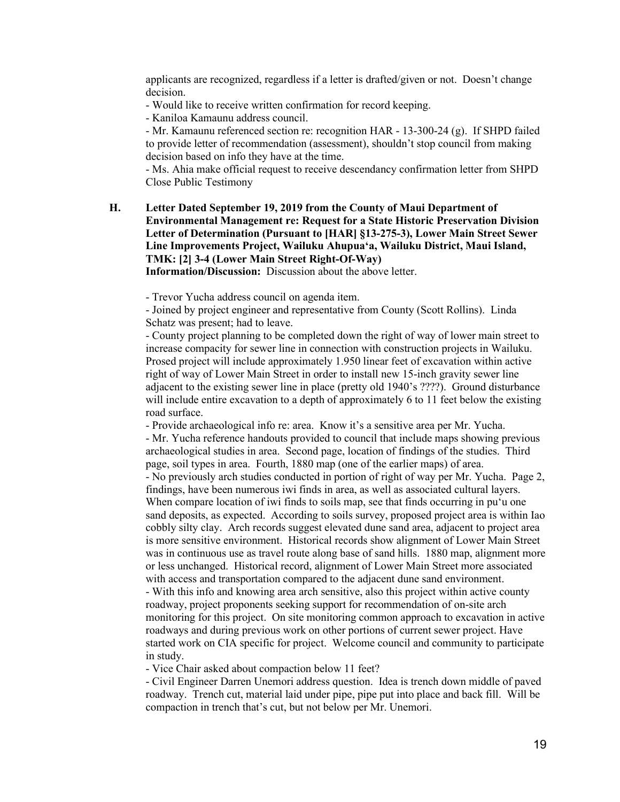applicants are recognized, regardless if a letter is drafted/given or not. Doesn't change decision.

- Would like to receive written confirmation for record keeping.

- Kaniloa Kamaunu address council.

- Mr. Kamaunu referenced section re: recognition HAR - 13-300-24 (g). If SHPD failed to provide letter of recommendation (assessment), shouldn't stop council from making decision based on info they have at the time.

- Ms. Ahia make official request to receive descendancy confirmation letter from SHPD Close Public Testimony

**H. Letter Dated September 19, 2019 from the County of Maui Department of Environmental Management re: Request for a State Historic Preservation Division Letter of Determination (Pursuant to [HAR] §13-275-3), Lower Main Street Sewer Line Improvements Project, Wailuku Ahupuaʻa, Wailuku District, Maui Island, TMK: [2] 3-4 (Lower Main Street Right-Of-Way)**

**Information/Discussion:** Discussion about the above letter.

- Trevor Yucha address council on agenda item.

- Joined by project engineer and representative from County (Scott Rollins). Linda Schatz was present; had to leave.

- County project planning to be completed down the right of way of lower main street to increase compacity for sewer line in connection with construction projects in Wailuku. Prosed project will include approximately 1.950 linear feet of excavation within active right of way of Lower Main Street in order to install new 15-inch gravity sewer line adjacent to the existing sewer line in place (pretty old 1940's ????). Ground disturbance will include entire excavation to a depth of approximately 6 to 11 feet below the existing road surface.

- Provide archaeological info re: area. Know it's a sensitive area per Mr. Yucha.

- Mr. Yucha reference handouts provided to council that include maps showing previous archaeological studies in area. Second page, location of findings of the studies. Third page, soil types in area. Fourth, 1880 map (one of the earlier maps) of area.

- No previously arch studies conducted in portion of right of way per Mr. Yucha. Page 2, findings, have been numerous iwi finds in area, as well as associated cultural layers. When compare location of iwi finds to soils map, see that finds occurring in puʻu one sand deposits, as expected. According to soils survey, proposed project area is within Iao cobbly silty clay. Arch records suggest elevated dune sand area, adjacent to project area is more sensitive environment. Historical records show alignment of Lower Main Street was in continuous use as travel route along base of sand hills. 1880 map, alignment more or less unchanged. Historical record, alignment of Lower Main Street more associated with access and transportation compared to the adjacent dune sand environment.

- With this info and knowing area arch sensitive, also this project within active county roadway, project proponents seeking support for recommendation of on-site arch monitoring for this project. On site monitoring common approach to excavation in active roadways and during previous work on other portions of current sewer project. Have started work on CIA specific for project. Welcome council and community to participate in study.

- Vice Chair asked about compaction below 11 feet?

- Civil Engineer Darren Unemori address question. Idea is trench down middle of paved roadway. Trench cut, material laid under pipe, pipe put into place and back fill. Will be compaction in trench that's cut, but not below per Mr. Unemori.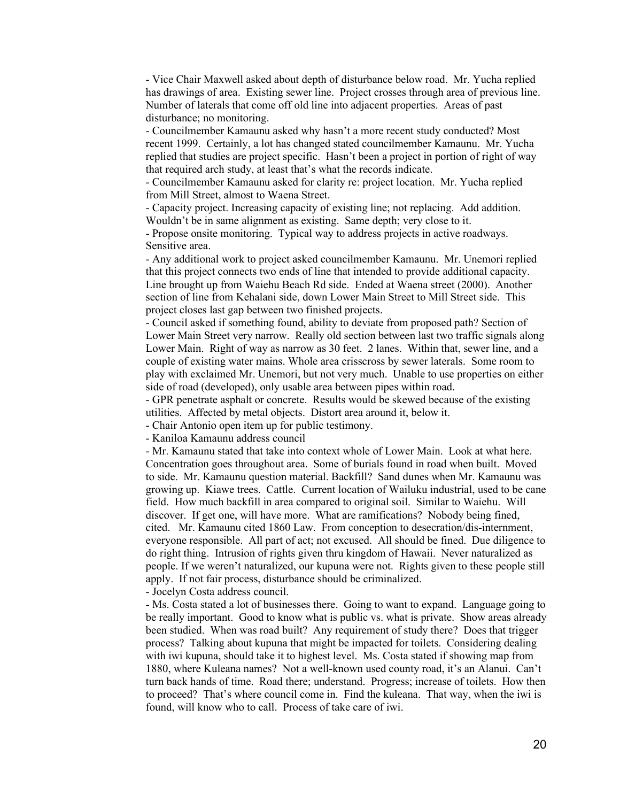- Vice Chair Maxwell asked about depth of disturbance below road. Mr. Yucha replied has drawings of area. Existing sewer line. Project crosses through area of previous line. Number of laterals that come off old line into adjacent properties. Areas of past disturbance; no monitoring.

- Councilmember Kamaunu asked why hasn't a more recent study conducted? Most recent 1999. Certainly, a lot has changed stated councilmember Kamaunu. Mr. Yucha replied that studies are project specific. Hasn't been a project in portion of right of way that required arch study, at least that's what the records indicate.

- Councilmember Kamaunu asked for clarity re: project location. Mr. Yucha replied from Mill Street, almost to Waena Street.

- Capacity project. Increasing capacity of existing line; not replacing. Add addition. Wouldn't be in same alignment as existing. Same depth; very close to it.

- Propose onsite monitoring. Typical way to address projects in active roadways. Sensitive area.

- Any additional work to project asked councilmember Kamaunu. Mr. Unemori replied that this project connects two ends of line that intended to provide additional capacity. Line brought up from Waiehu Beach Rd side. Ended at Waena street (2000). Another section of line from Kehalani side, down Lower Main Street to Mill Street side. This project closes last gap between two finished projects.

- Council asked if something found, ability to deviate from proposed path? Section of Lower Main Street very narrow. Really old section between last two traffic signals along Lower Main. Right of way as narrow as 30 feet. 2 lanes. Within that, sewer line, and a couple of existing water mains. Whole area crisscross by sewer laterals. Some room to play with exclaimed Mr. Unemori, but not very much. Unable to use properties on either side of road (developed), only usable area between pipes within road.

- GPR penetrate asphalt or concrete. Results would be skewed because of the existing utilities. Affected by metal objects. Distort area around it, below it.

- Chair Antonio open item up for public testimony.

- Kaniloa Kamaunu address council

- Mr. Kamaunu stated that take into context whole of Lower Main. Look at what here. Concentration goes throughout area. Some of burials found in road when built. Moved to side. Mr. Kamaunu question material. Backfill? Sand dunes when Mr. Kamaunu was growing up. Kiawe trees. Cattle. Current location of Wailuku industrial, used to be cane field. How much backfill in area compared to original soil. Similar to Waiehu. Will discover. If get one, will have more. What are ramifications? Nobody being fined, cited. Mr. Kamaunu cited 1860 Law. From conception to desecration/dis-internment, everyone responsible. All part of act; not excused. All should be fined. Due diligence to do right thing. Intrusion of rights given thru kingdom of Hawaii. Never naturalized as people. If we weren't naturalized, our kupuna were not. Rights given to these people still apply. If not fair process, disturbance should be criminalized.

- Jocelyn Costa address council.

- Ms. Costa stated a lot of businesses there. Going to want to expand. Language going to be really important. Good to know what is public vs. what is private. Show areas already been studied. When was road built? Any requirement of study there? Does that trigger process? Talking about kupuna that might be impacted for toilets. Considering dealing with iwi kupuna, should take it to highest level. Ms. Costa stated if showing map from 1880, where Kuleana names? Not a well-known used county road, it's an Alanui. Can't turn back hands of time. Road there; understand. Progress; increase of toilets. How then to proceed? That's where council come in. Find the kuleana. That way, when the iwi is found, will know who to call. Process of take care of iwi.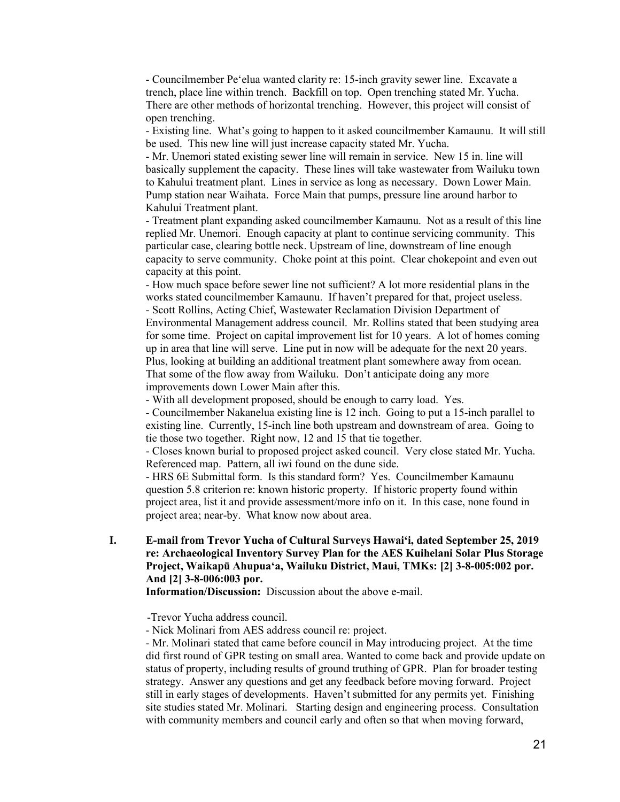- Councilmember Peʻelua wanted clarity re: 15-inch gravity sewer line. Excavate a trench, place line within trench. Backfill on top. Open trenching stated Mr. Yucha. There are other methods of horizontal trenching. However, this project will consist of open trenching.

- Existing line. What's going to happen to it asked councilmember Kamaunu. It will still be used. This new line will just increase capacity stated Mr. Yucha.

- Mr. Unemori stated existing sewer line will remain in service. New 15 in. line will basically supplement the capacity. These lines will take wastewater from Wailuku town to Kahului treatment plant. Lines in service as long as necessary. Down Lower Main. Pump station near Waihata. Force Main that pumps, pressure line around harbor to Kahului Treatment plant.

- Treatment plant expanding asked councilmember Kamaunu. Not as a result of this line replied Mr. Unemori. Enough capacity at plant to continue servicing community. This particular case, clearing bottle neck. Upstream of line, downstream of line enough capacity to serve community. Choke point at this point. Clear chokepoint and even out capacity at this point.

- How much space before sewer line not sufficient? A lot more residential plans in the works stated councilmember Kamaunu. If haven't prepared for that, project useless. - Scott Rollins, Acting Chief, Wastewater Reclamation Division Department of Environmental Management address council. Mr. Rollins stated that been studying area for some time. Project on capital improvement list for 10 years. A lot of homes coming up in area that line will serve. Line put in now will be adequate for the next 20 years. Plus, looking at building an additional treatment plant somewhere away from ocean. That some of the flow away from Wailuku. Don't anticipate doing any more improvements down Lower Main after this.

- With all development proposed, should be enough to carry load. Yes.

- Councilmember Nakanelua existing line is 12 inch. Going to put a 15-inch parallel to existing line. Currently, 15-inch line both upstream and downstream of area. Going to tie those two together. Right now, 12 and 15 that tie together.

- Closes known burial to proposed project asked council. Very close stated Mr. Yucha. Referenced map. Pattern, all iwi found on the dune side.

- HRS 6E Submittal form. Is this standard form? Yes. Councilmember Kamaunu question 5.8 criterion re: known historic property. If historic property found within project area, list it and provide assessment/more info on it. In this case, none found in project area; near-by. What know now about area.

## **I. E-mail from Trevor Yucha of Cultural Surveys Hawaiʻi, dated September 25, 2019 re: Archaeological Inventory Survey Plan for the AES Kuihelani Solar Plus Storage Project, Waikapū Ahupuaʻa, Wailuku District, Maui, TMKs: [2] 3-8-005:002 por. And [2] 3-8-006:003 por.**

**Information/Discussion:** Discussion about the above e-mail.

-Trevor Yucha address council.

- Nick Molinari from AES address council re: project.

- Mr. Molinari stated that came before council in May introducing project. At the time did first round of GPR testing on small area. Wanted to come back and provide update on status of property, including results of ground truthing of GPR. Plan for broader testing strategy. Answer any questions and get any feedback before moving forward. Project still in early stages of developments. Haven't submitted for any permits yet. Finishing site studies stated Mr. Molinari. Starting design and engineering process. Consultation with community members and council early and often so that when moving forward,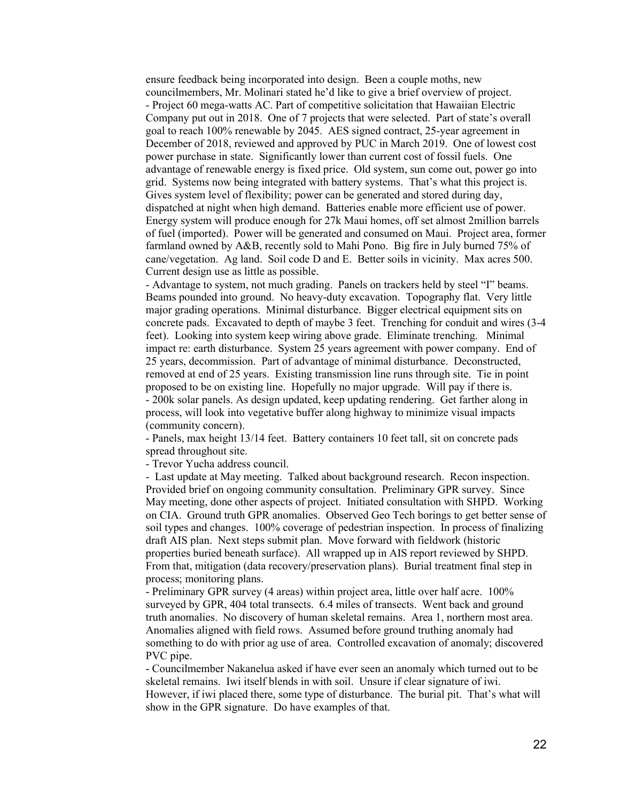ensure feedback being incorporated into design. Been a couple moths, new councilmembers, Mr. Molinari stated he'd like to give a brief overview of project. - Project 60 mega-watts AC. Part of competitive solicitation that Hawaiian Electric Company put out in 2018. One of 7 projects that were selected. Part of state's overall goal to reach 100% renewable by 2045. AES signed contract, 25-year agreement in December of 2018, reviewed and approved by PUC in March 2019. One of lowest cost power purchase in state. Significantly lower than current cost of fossil fuels. One advantage of renewable energy is fixed price. Old system, sun come out, power go into grid. Systems now being integrated with battery systems. That's what this project is. Gives system level of flexibility; power can be generated and stored during day, dispatched at night when high demand. Batteries enable more efficient use of power. Energy system will produce enough for 27k Maui homes, off set almost 2million barrels of fuel (imported). Power will be generated and consumed on Maui. Project area, former farmland owned by A&B, recently sold to Mahi Pono. Big fire in July burned 75% of cane/vegetation. Ag land. Soil code D and E. Better soils in vicinity. Max acres 500. Current design use as little as possible.

- Advantage to system, not much grading. Panels on trackers held by steel "I" beams. Beams pounded into ground. No heavy-duty excavation. Topography flat. Very little major grading operations. Minimal disturbance. Bigger electrical equipment sits on concrete pads. Excavated to depth of maybe 3 feet. Trenching for conduit and wires (3-4 feet). Looking into system keep wiring above grade. Eliminate trenching. Minimal impact re: earth disturbance. System 25 years agreement with power company. End of 25 years, decommission. Part of advantage of minimal disturbance. Deconstructed, removed at end of 25 years. Existing transmission line runs through site. Tie in point proposed to be on existing line. Hopefully no major upgrade. Will pay if there is. - 200k solar panels. As design updated, keep updating rendering. Get farther along in process, will look into vegetative buffer along highway to minimize visual impacts (community concern).

- Panels, max height 13/14 feet. Battery containers 10 feet tall, sit on concrete pads spread throughout site.

- Trevor Yucha address council.

- Last update at May meeting. Talked about background research. Recon inspection. Provided brief on ongoing community consultation. Preliminary GPR survey. Since May meeting, done other aspects of project. Initiated consultation with SHPD. Working on CIA. Ground truth GPR anomalies. Observed Geo Tech borings to get better sense of soil types and changes. 100% coverage of pedestrian inspection. In process of finalizing draft AIS plan. Next steps submit plan. Move forward with fieldwork (historic properties buried beneath surface). All wrapped up in AIS report reviewed by SHPD. From that, mitigation (data recovery/preservation plans). Burial treatment final step in process; monitoring plans.

- Preliminary GPR survey (4 areas) within project area, little over half acre. 100% surveyed by GPR, 404 total transects. 6.4 miles of transects. Went back and ground truth anomalies. No discovery of human skeletal remains. Area 1, northern most area. Anomalies aligned with field rows. Assumed before ground truthing anomaly had something to do with prior ag use of area. Controlled excavation of anomaly; discovered PVC pipe.

- Councilmember Nakanelua asked if have ever seen an anomaly which turned out to be skeletal remains. Iwi itself blends in with soil. Unsure if clear signature of iwi. However, if iwi placed there, some type of disturbance. The burial pit. That's what will show in the GPR signature. Do have examples of that.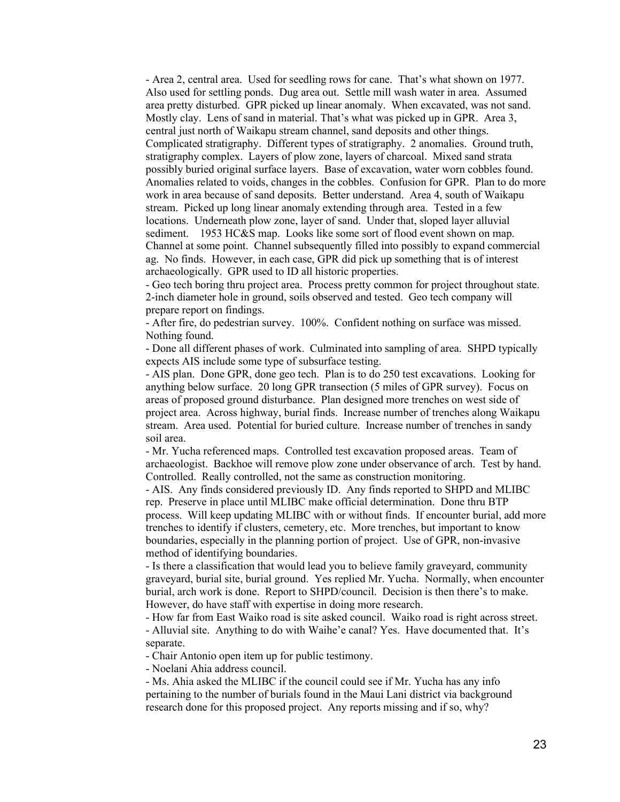- Area 2, central area. Used for seedling rows for cane. That's what shown on 1977. Also used for settling ponds. Dug area out. Settle mill wash water in area. Assumed area pretty disturbed. GPR picked up linear anomaly. When excavated, was not sand. Mostly clay. Lens of sand in material. That's what was picked up in GPR. Area 3, central just north of Waikapu stream channel, sand deposits and other things. Complicated stratigraphy. Different types of stratigraphy. 2 anomalies. Ground truth, stratigraphy complex. Layers of plow zone, layers of charcoal. Mixed sand strata possibly buried original surface layers. Base of excavation, water worn cobbles found. Anomalies related to voids, changes in the cobbles. Confusion for GPR. Plan to do more work in area because of sand deposits. Better understand. Area 4, south of Waikapu stream. Picked up long linear anomaly extending through area. Tested in a few locations. Underneath plow zone, layer of sand. Under that, sloped layer alluvial sediment. 1953 HC&S map. Looks like some sort of flood event shown on map. Channel at some point. Channel subsequently filled into possibly to expand commercial ag. No finds. However, in each case, GPR did pick up something that is of interest archaeologically. GPR used to ID all historic properties.

- Geo tech boring thru project area. Process pretty common for project throughout state. 2-inch diameter hole in ground, soils observed and tested. Geo tech company will prepare report on findings.

- After fire, do pedestrian survey. 100%. Confident nothing on surface was missed. Nothing found.

- Done all different phases of work. Culminated into sampling of area. SHPD typically expects AIS include some type of subsurface testing.

- AIS plan. Done GPR, done geo tech. Plan is to do 250 test excavations. Looking for anything below surface. 20 long GPR transection (5 miles of GPR survey). Focus on areas of proposed ground disturbance. Plan designed more trenches on west side of project area. Across highway, burial finds. Increase number of trenches along Waikapu stream. Area used. Potential for buried culture. Increase number of trenches in sandy soil area.

- Mr. Yucha referenced maps. Controlled test excavation proposed areas. Team of archaeologist. Backhoe will remove plow zone under observance of arch. Test by hand. Controlled. Really controlled, not the same as construction monitoring.

- AIS. Any finds considered previously ID. Any finds reported to SHPD and MLIBC rep. Preserve in place until MLIBC make official determination. Done thru BTP process. Will keep updating MLIBC with or without finds. If encounter burial, add more trenches to identify if clusters, cemetery, etc. More trenches, but important to know boundaries, especially in the planning portion of project. Use of GPR, non-invasive method of identifying boundaries.

- Is there a classification that would lead you to believe family graveyard, community graveyard, burial site, burial ground. Yes replied Mr. Yucha. Normally, when encounter burial, arch work is done. Report to SHPD/council. Decision is then there's to make. However, do have staff with expertise in doing more research.

- How far from East Waiko road is site asked council. Waiko road is right across street. - Alluvial site. Anything to do with Waihe'e canal? Yes. Have documented that. It's separate.

- Chair Antonio open item up for public testimony.

- Noelani Ahia address council.

- Ms. Ahia asked the MLIBC if the council could see if Mr. Yucha has any info pertaining to the number of burials found in the Maui Lani district via background research done for this proposed project. Any reports missing and if so, why?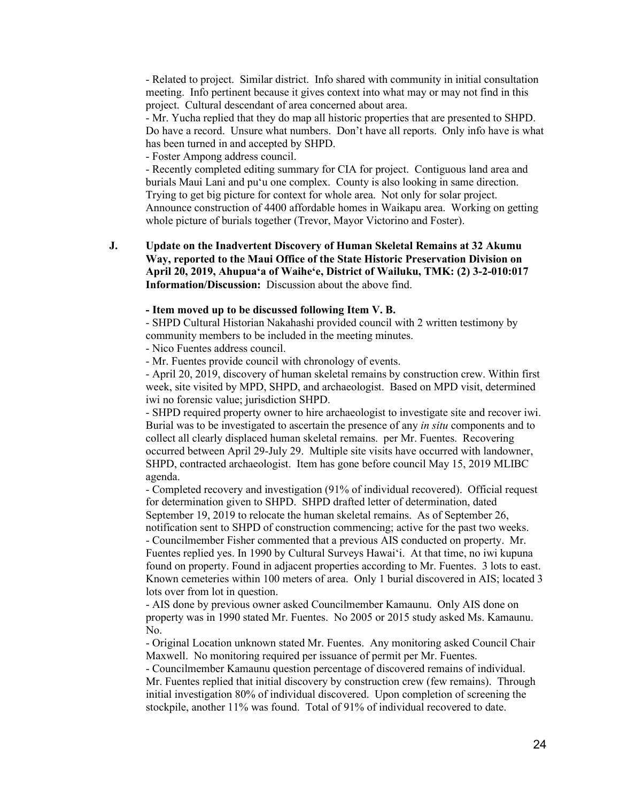- Related to project. Similar district. Info shared with community in initial consultation meeting. Info pertinent because it gives context into what may or may not find in this project. Cultural descendant of area concerned about area.

- Mr. Yucha replied that they do map all historic properties that are presented to SHPD. Do have a record. Unsure what numbers. Don't have all reports. Only info have is what has been turned in and accepted by SHPD.

- Foster Ampong address council.

- Recently completed editing summary for CIA for project. Contiguous land area and burials Maui Lani and puʻu one complex. County is also looking in same direction. Trying to get big picture for context for whole area. Not only for solar project. Announce construction of 4400 affordable homes in Waikapu area. Working on getting whole picture of burials together (Trevor, Mayor Victorino and Foster).

**J. Update on the Inadvertent Discovery of Human Skeletal Remains at 32 Akumu Way, reported to the Maui Office of the State Historic Preservation Division on April 20, 2019, Ahupuaʻa of Waiheʻe, District of Wailuku, TMK: (2) 3-2-010:017 Information/Discussion:** Discussion about the above find.

#### **- Item moved up to be discussed following Item V. B.**

- SHPD Cultural Historian Nakahashi provided council with 2 written testimony by community members to be included in the meeting minutes.

- Nico Fuentes address council.

- Mr. Fuentes provide council with chronology of events.

- April 20, 2019, discovery of human skeletal remains by construction crew. Within first week, site visited by MPD, SHPD, and archaeologist. Based on MPD visit, determined iwi no forensic value; jurisdiction SHPD.

- SHPD required property owner to hire archaeologist to investigate site and recover iwi. Burial was to be investigated to ascertain the presence of any *in situ* components and to collect all clearly displaced human skeletal remains. per Mr. Fuentes. Recovering occurred between April 29-July 29. Multiple site visits have occurred with landowner, SHPD, contracted archaeologist. Item has gone before council May 15, 2019 MLIBC agenda.

- Completed recovery and investigation (91% of individual recovered). Official request for determination given to SHPD. SHPD drafted letter of determination, dated September 19, 2019 to relocate the human skeletal remains. As of September 26, notification sent to SHPD of construction commencing; active for the past two weeks. - Councilmember Fisher commented that a previous AIS conducted on property. Mr. Fuentes replied yes. In 1990 by Cultural Surveys Hawaiʻi. At that time, no iwi kupuna found on property. Found in adjacent properties according to Mr. Fuentes. 3 lots to east.

Known cemeteries within 100 meters of area. Only 1 burial discovered in AIS; located 3 lots over from lot in question.

- AIS done by previous owner asked Councilmember Kamaunu. Only AIS done on property was in 1990 stated Mr. Fuentes. No 2005 or 2015 study asked Ms. Kamaunu. No.

- Original Location unknown stated Mr. Fuentes. Any monitoring asked Council Chair Maxwell. No monitoring required per issuance of permit per Mr. Fuentes.

- Councilmember Kamaunu question percentage of discovered remains of individual. Mr. Fuentes replied that initial discovery by construction crew (few remains). Through initial investigation 80% of individual discovered. Upon completion of screening the stockpile, another 11% was found. Total of 91% of individual recovered to date.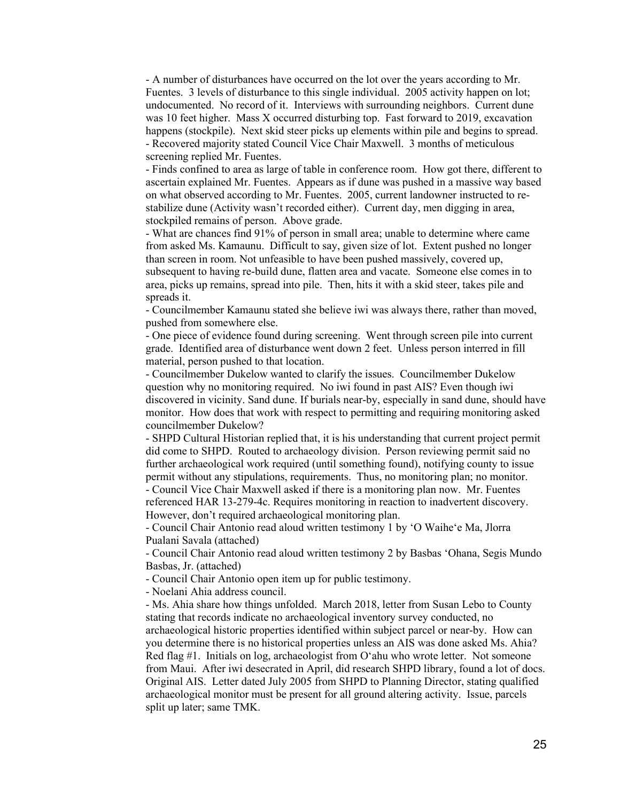- A number of disturbances have occurred on the lot over the years according to Mr. Fuentes. 3 levels of disturbance to this single individual. 2005 activity happen on lot; undocumented. No record of it. Interviews with surrounding neighbors. Current dune was 10 feet higher. Mass X occurred disturbing top. Fast forward to 2019, excavation happens (stockpile). Next skid steer picks up elements within pile and begins to spread. - Recovered majority stated Council Vice Chair Maxwell. 3 months of meticulous screening replied Mr. Fuentes.

- Finds confined to area as large of table in conference room. How got there, different to ascertain explained Mr. Fuentes. Appears as if dune was pushed in a massive way based on what observed according to Mr. Fuentes. 2005, current landowner instructed to restabilize dune (Activity wasn't recorded either). Current day, men digging in area, stockpiled remains of person. Above grade.

- What are chances find 91% of person in small area; unable to determine where came from asked Ms. Kamaunu. Difficult to say, given size of lot. Extent pushed no longer than screen in room. Not unfeasible to have been pushed massively, covered up, subsequent to having re-build dune, flatten area and vacate. Someone else comes in to area, picks up remains, spread into pile. Then, hits it with a skid steer, takes pile and spreads it.

- Councilmember Kamaunu stated she believe iwi was always there, rather than moved, pushed from somewhere else.

- One piece of evidence found during screening. Went through screen pile into current grade. Identified area of disturbance went down 2 feet. Unless person interred in fill material, person pushed to that location.

- Councilmember Dukelow wanted to clarify the issues. Councilmember Dukelow question why no monitoring required. No iwi found in past AIS? Even though iwi discovered in vicinity. Sand dune. If burials near-by, especially in sand dune, should have monitor. How does that work with respect to permitting and requiring monitoring asked councilmember Dukelow?

- SHPD Cultural Historian replied that, it is his understanding that current project permit did come to SHPD. Routed to archaeology division. Person reviewing permit said no further archaeological work required (until something found), notifying county to issue permit without any stipulations, requirements. Thus, no monitoring plan; no monitor.

- Council Vice Chair Maxwell asked if there is a monitoring plan now. Mr. Fuentes referenced HAR 13-279-4c. Requires monitoring in reaction to inadvertent discovery. However, don't required archaeological monitoring plan.

- Council Chair Antonio read aloud written testimony 1 by ʻO Waiheʻe Ma, Jlorra Pualani Savala (attached)

- Council Chair Antonio read aloud written testimony 2 by Basbas ʻOhana, Segis Mundo Basbas, Jr. (attached)

- Council Chair Antonio open item up for public testimony.

- Noelani Ahia address council.

- Ms. Ahia share how things unfolded. March 2018, letter from Susan Lebo to County stating that records indicate no archaeological inventory survey conducted, no archaeological historic properties identified within subject parcel or near-by. How can you determine there is no historical properties unless an AIS was done asked Ms. Ahia? Red flag #1. Initials on log, archaeologist from Oʻahu who wrote letter. Not someone from Maui. After iwi desecrated in April, did research SHPD library, found a lot of docs. Original AIS. Letter dated July 2005 from SHPD to Planning Director, stating qualified archaeological monitor must be present for all ground altering activity. Issue, parcels split up later; same TMK.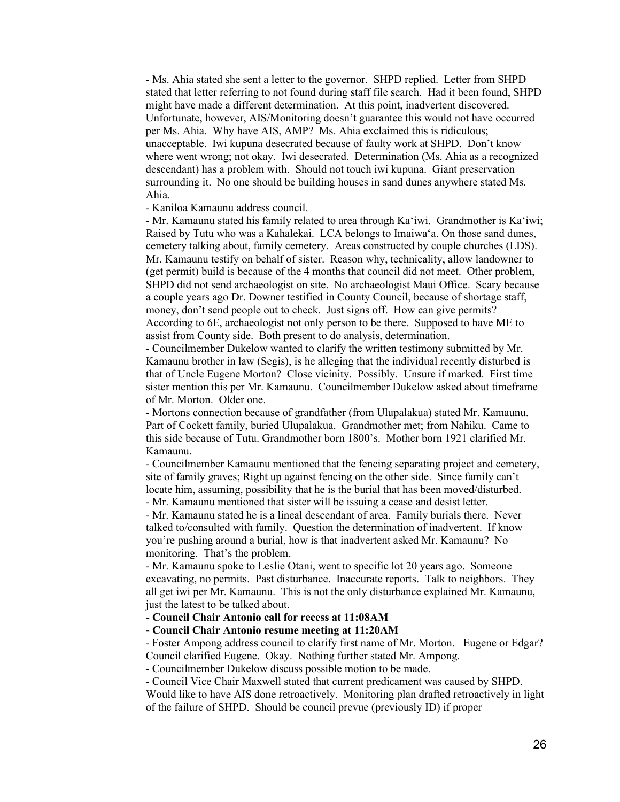- Ms. Ahia stated she sent a letter to the governor. SHPD replied. Letter from SHPD stated that letter referring to not found during staff file search. Had it been found, SHPD might have made a different determination. At this point, inadvertent discovered. Unfortunate, however, AIS/Monitoring doesn't guarantee this would not have occurred per Ms. Ahia. Why have AIS, AMP? Ms. Ahia exclaimed this is ridiculous; unacceptable. Iwi kupuna desecrated because of faulty work at SHPD. Don't know where went wrong; not okay. Iwi desecrated. Determination (Ms. Ahia as a recognized descendant) has a problem with. Should not touch iwi kupuna. Giant preservation surrounding it. No one should be building houses in sand dunes anywhere stated Ms. Ahia.

- Kaniloa Kamaunu address council.

- Mr. Kamaunu stated his family related to area through Kaʻiwi. Grandmother is Kaʻiwi; Raised by Tutu who was a Kahalekai. LCA belongs to Imaiwaʻa. On those sand dunes, cemetery talking about, family cemetery. Areas constructed by couple churches (LDS). Mr. Kamaunu testify on behalf of sister. Reason why, technicality, allow landowner to (get permit) build is because of the 4 months that council did not meet. Other problem, SHPD did not send archaeologist on site. No archaeologist Maui Office. Scary because a couple years ago Dr. Downer testified in County Council, because of shortage staff, money, don't send people out to check. Just signs off. How can give permits? According to 6E, archaeologist not only person to be there. Supposed to have ME to assist from County side. Both present to do analysis, determination.

- Councilmember Dukelow wanted to clarify the written testimony submitted by Mr. Kamaunu brother in law (Segis), is he alleging that the individual recently disturbed is that of Uncle Eugene Morton? Close vicinity. Possibly. Unsure if marked. First time sister mention this per Mr. Kamaunu. Councilmember Dukelow asked about timeframe of Mr. Morton. Older one.

- Mortons connection because of grandfather (from Ulupalakua) stated Mr. Kamaunu. Part of Cockett family, buried Ulupalakua. Grandmother met; from Nahiku. Came to this side because of Tutu. Grandmother born 1800's. Mother born 1921 clarified Mr. Kamaunu.

- Councilmember Kamaunu mentioned that the fencing separating project and cemetery, site of family graves; Right up against fencing on the other side. Since family can't locate him, assuming, possibility that he is the burial that has been moved/disturbed.

- Mr. Kamaunu mentioned that sister will be issuing a cease and desist letter.

- Mr. Kamaunu stated he is a lineal descendant of area. Family burials there. Never talked to/consulted with family. Question the determination of inadvertent. If know you're pushing around a burial, how is that inadvertent asked Mr. Kamaunu? No monitoring. That's the problem.

- Mr. Kamaunu spoke to Leslie Otani, went to specific lot 20 years ago. Someone excavating, no permits. Past disturbance. Inaccurate reports. Talk to neighbors. They all get iwi per Mr. Kamaunu. This is not the only disturbance explained Mr. Kamaunu, just the latest to be talked about.

## **- Council Chair Antonio call for recess at 11:08AM**

## **- Council Chair Antonio resume meeting at 11:20AM**

- Foster Ampong address council to clarify first name of Mr. Morton. Eugene or Edgar? Council clarified Eugene. Okay. Nothing further stated Mr. Ampong.

- Councilmember Dukelow discuss possible motion to be made.

- Council Vice Chair Maxwell stated that current predicament was caused by SHPD.

Would like to have AIS done retroactively. Monitoring plan drafted retroactively in light of the failure of SHPD. Should be council prevue (previously ID) if proper